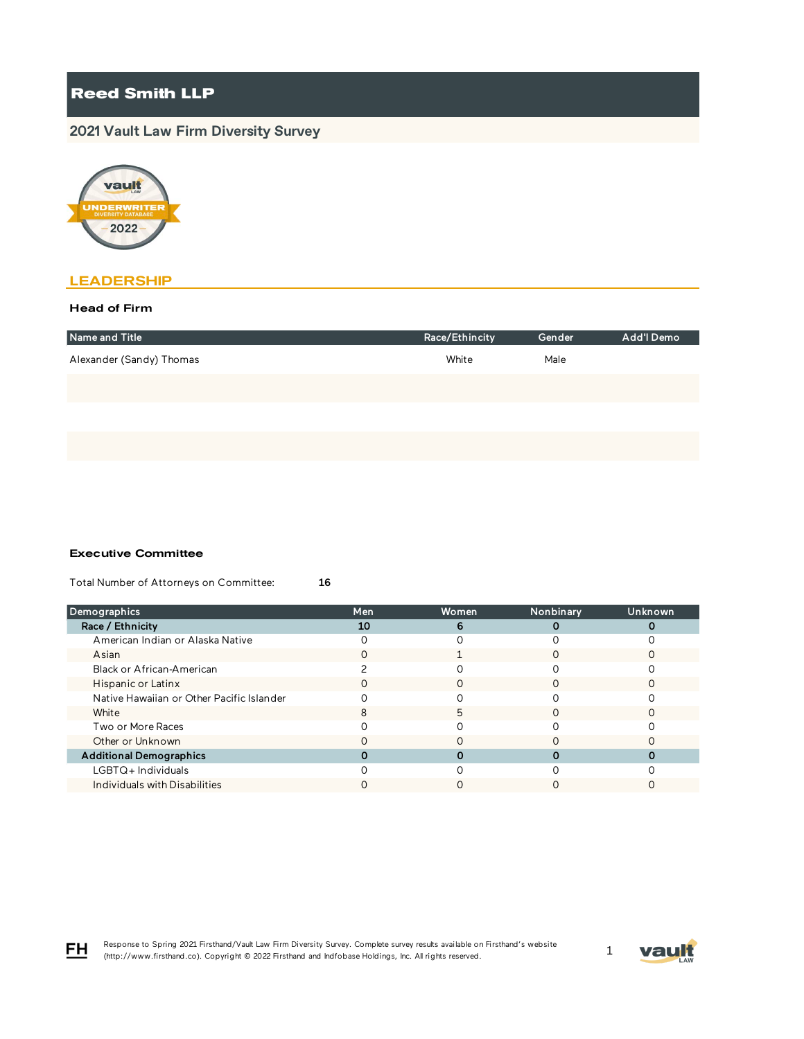# **2021 Vault Law Firm Diversity Survey**



# **LEADERSHIP**

### Head of Firm

| Name and Title           | Race/Ethincity | Gender | Add'l Demo |
|--------------------------|----------------|--------|------------|
| Alexander (Sandy) Thomas | White          | Male   |            |
|                          |                |        |            |
|                          |                |        |            |
|                          |                |        |            |
|                          |                |        |            |

#### Executive Committee

Total Number of Attorneys on Committee: 16

| <b>Demographics</b>                       | Men | Women | Nonbinary | <b>Unknown</b> |
|-------------------------------------------|-----|-------|-----------|----------------|
| Race / Ethnicity                          | 10  |       |           |                |
| American Indian or Alaska Native          |     |       |           |                |
| Asian                                     |     |       |           |                |
| Black or African-American                 |     |       |           |                |
| Hispanic or Latinx                        | O   |       |           |                |
| Native Hawaiian or Other Pacific Islander |     |       |           |                |
| White                                     | 8   | 5     |           |                |
| Two or More Races                         |     |       |           |                |
| Other or Unknown                          |     |       |           |                |
| <b>Additional Demographics</b>            |     |       |           |                |
| LGBTQ+Individuals                         |     |       |           |                |
| Individuals with Disabilities             |     |       |           |                |



FH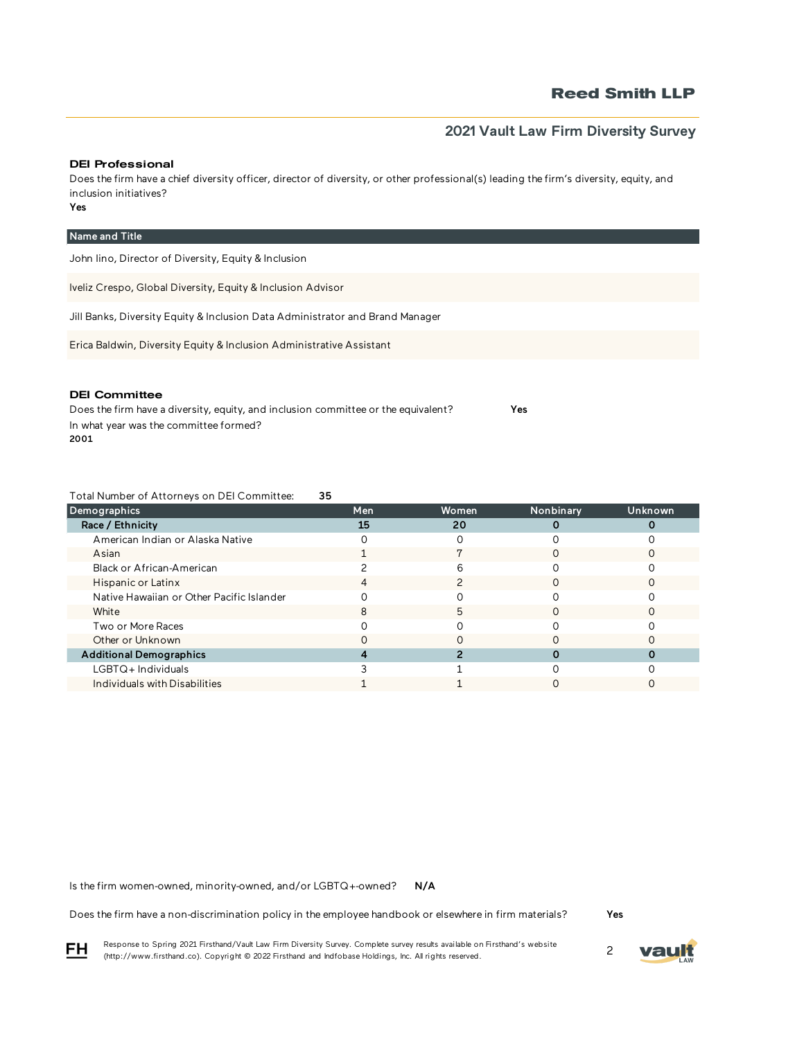# **2021 Vault Law Firm Diversity Survey**

#### DEI Professional

Yes Does the firm have a chief diversity officer, director of diversity, or other professional(s) leading the firm's diversity, equity, and inclusion initiatives?

| Name and Title                                                                |
|-------------------------------------------------------------------------------|
| John lino, Director of Diversity, Equity & Inclusion                          |
| Iveliz Crespo, Global Diversity, Equity & Inclusion Advisor                   |
| Jill Banks, Diversity Equity & Inclusion Data Administrator and Brand Manager |
| Erica Baldwin, Diversity Equity & Inclusion Administrative Assistant          |
|                                                                               |
| <b>DEI Committee</b>                                                          |

Does the firm have a diversity, equity, and inclusion committee or the equivalent? Yes In what year was the committee formed? 2001

Total Number of Attorneys on DEI Committee: 35

| <b>Demographics</b>                       | Men | Women | Nonbinary | Unknown |
|-------------------------------------------|-----|-------|-----------|---------|
| Race / Ethnicity                          | 15  | 20    |           |         |
| American Indian or Alaska Native          |     |       |           |         |
| Asian                                     |     |       |           |         |
| Black or African-American                 |     | n     |           |         |
| Hispanic or Latinx                        |     |       | ∩         |         |
| Native Hawaiian or Other Pacific Islander |     |       |           |         |
| White                                     |     |       |           |         |
| Two or More Races                         |     |       |           |         |
| Other or Unknown                          |     |       |           |         |
| <b>Additional Demographics</b>            |     |       |           |         |
| LGBTQ+Individuals                         |     |       |           |         |
| Individuals with Disabilities             |     |       |           |         |

N/A Is the firm women-owned, minority-owned, and/or LGBTQ+-owned?

Does the firm have a non-discrimination policy in the employee handbook or elsewhere in firm materials?

Yes

Response to Spring 2021 Firsthand/Vault Law Firm Diversity Survey. Complete survey results available on Firsthand's website Response to Spring 2021 Firsthand/vault Law Firm Diversity Survey. Complete survey results available on Firsthand s website<br>(http://www.firsthand.co). Copyright © 2022 Firsthand and Indfobase Holdings, Inc. All rights rese



FH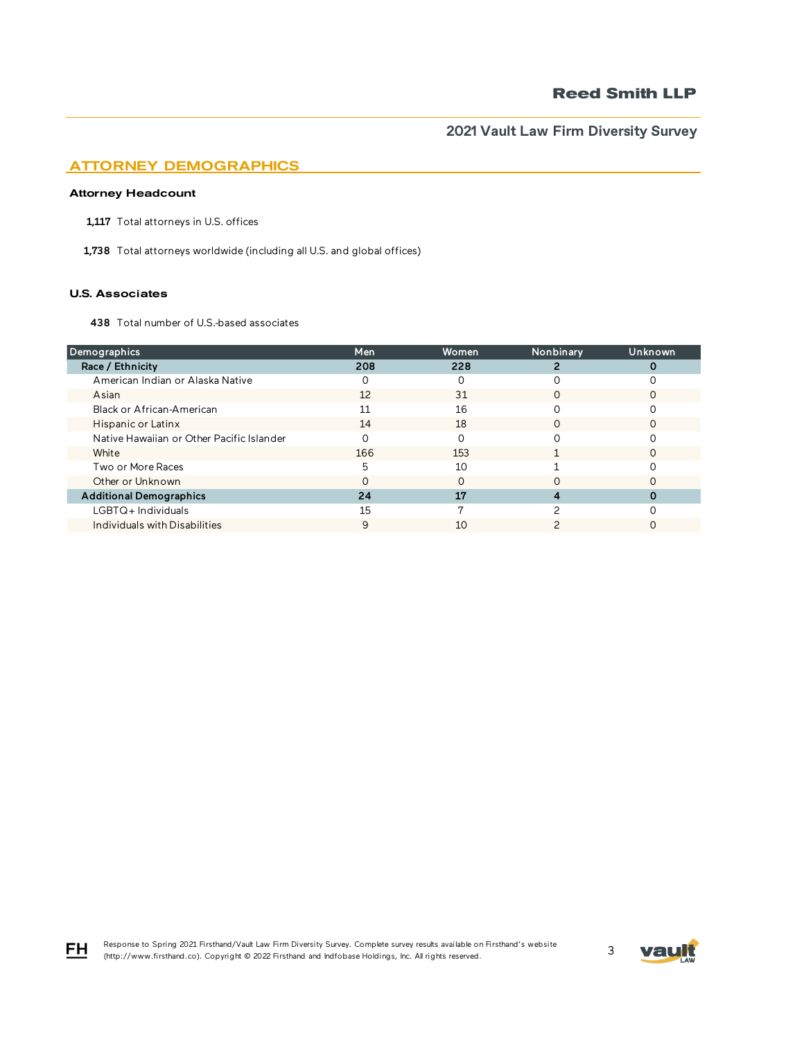# ATTORNEY DEMOGRAPHICS

### Attorney Headcount

1,117 Total attorneys in U.S. offices

1,738 Total attorneys worldwide (including all U.S. and global offices)

#### U.S. Associates

FH

438 Total number of U.S.-based associates

| <b>Demographics</b>                       | Men | Women | Nonbinary | Unknown |
|-------------------------------------------|-----|-------|-----------|---------|
| Race / Ethnicity                          | 208 | 228   |           |         |
| American Indian or Alaska Native          |     |       |           |         |
| Asian                                     | 12  | 31    |           |         |
| Black or African-American                 | 11  | 16    | O         |         |
| Hispanic or Latinx                        | 14  | 18    | $\Omega$  |         |
| Native Hawaiian or Other Pacific Islander |     |       |           |         |
| White                                     | 166 | 153   |           |         |
| Two or More Races                         | 5   | 10    |           |         |
| Other or Unknown                          |     |       |           |         |
| <b>Additional Demographics</b>            | 24  | 17    |           |         |
| LGBTQ+Individuals                         | 15  |       |           |         |
| Individuals with Disabilities             |     | 10    |           |         |

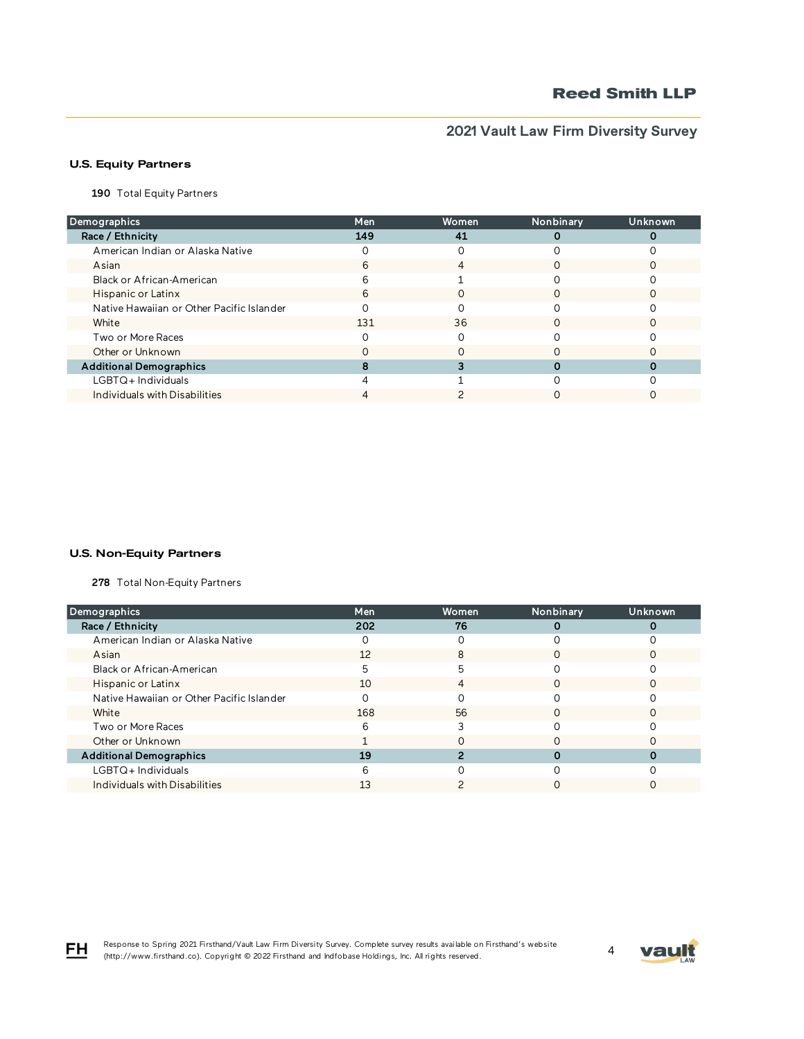# **2021 Vault Law Firm Diversity Survey**

## U.S. Equity Partners

190 Total Equity Partners

| Demographics                              | Men | Women | Nonbinary | Unknown |
|-------------------------------------------|-----|-------|-----------|---------|
| Race / Ethnicity                          | 149 | 41    |           |         |
| American Indian or Alaska Native          |     |       |           |         |
| Asian                                     | 6   | 4     |           |         |
| Black or African-American                 | h   |       |           |         |
| Hispanic or Latinx                        | 6   | O     | ∩         |         |
| Native Hawaiian or Other Pacific Islander |     |       |           |         |
| White                                     | 131 | 36    |           |         |
| Two or More Races                         |     |       |           |         |
| Other or Unknown                          |     |       |           |         |
| <b>Additional Demographics</b>            |     |       |           |         |
| $LGBTQ+$ Individuals                      |     |       |           |         |
| Individuals with Disabilities             |     |       |           |         |

### U.S. Non-Equity Partners

278 Total Non-Equity Partners

| Demographics                              | <b>Men</b> | Women | Nonbinary | Unknown |
|-------------------------------------------|------------|-------|-----------|---------|
| Race / Ethnicity                          | 202        | 76    |           |         |
| American Indian or Alaska Native          |            |       |           |         |
| Asian                                     | 12         | 8     |           |         |
| Black or African-American                 |            | 5     |           |         |
| Hispanic or Latinx                        | 10         |       |           |         |
| Native Hawaiian or Other Pacific Islander |            |       |           |         |
| White                                     | 168        | 56    | ∩         |         |
| Two or More Races                         | 6          |       |           |         |
| Other or Unknown                          |            |       |           |         |
| <b>Additional Demographics</b>            | 19         |       |           |         |
| $LGBTQ+$ Individuals                      | h          |       |           |         |
| Individuals with Disabilities             |            |       |           |         |

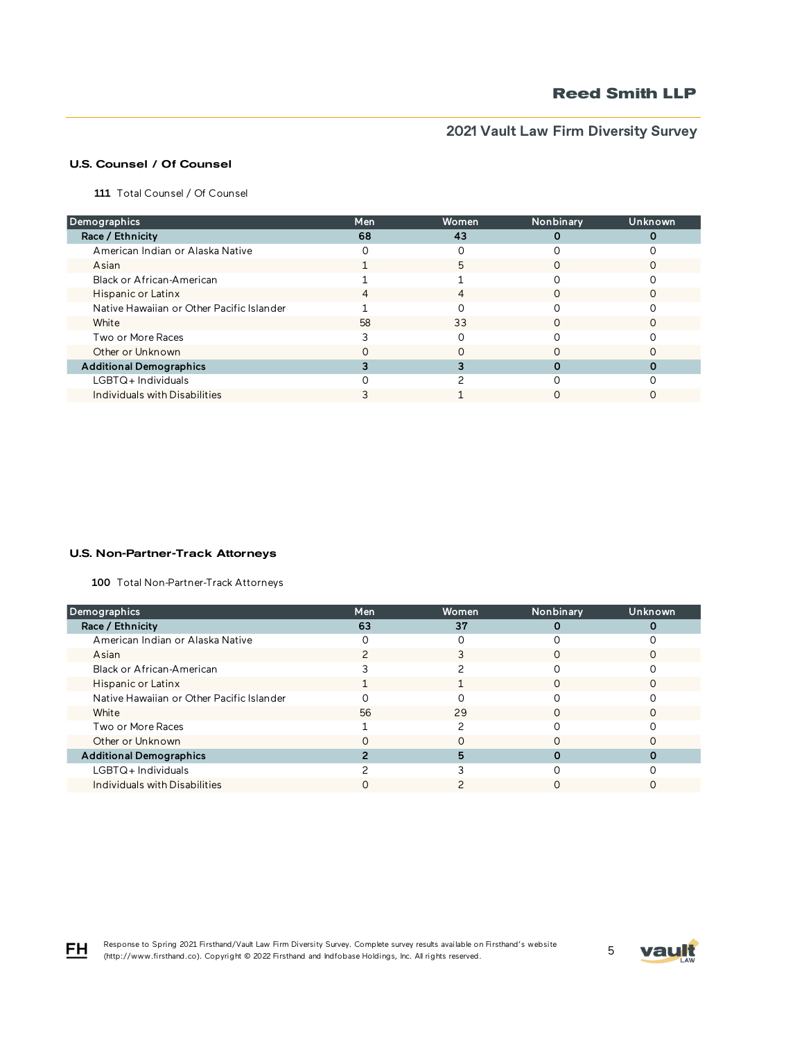# **2021 Vault Law Firm Diversity Survey**

## U.S. Counsel / Of Counsel

111 Total Counsel / Of Counsel

| Demographics                              | Men | Women | Nonbinary | Unknown |
|-------------------------------------------|-----|-------|-----------|---------|
| Race / Ethnicity                          | 68  | 43    |           |         |
| American Indian or Alaska Native          |     |       |           |         |
| Asian                                     |     | 5     |           |         |
| Black or African-American                 |     |       |           |         |
| Hispanic or Latinx                        | 4   | 4     | ∩         |         |
| Native Hawaiian or Other Pacific Islander |     |       |           |         |
| White                                     | 58  | 33    |           |         |
| Two or More Races                         |     |       |           |         |
| Other or Unknown                          |     |       |           |         |
| <b>Additional Demographics</b>            |     |       |           |         |
| $LGBTQ+$ Individuals                      |     |       |           |         |
| Individuals with Disabilities             |     |       |           |         |

#### U.S. Non-Partner-Track Attorneys

100 Total Non-Partner-Track Attorneys

| Demographics                              | Men | Women | Nonbinary | Unknown |
|-------------------------------------------|-----|-------|-----------|---------|
| Race / Ethnicity                          | 63  | 37    |           |         |
| American Indian or Alaska Native          |     |       |           |         |
| Asian                                     |     |       |           |         |
| Black or African-American                 |     |       |           |         |
| Hispanic or Latinx                        |     |       |           |         |
| Native Hawaiian or Other Pacific Islander |     |       |           |         |
| White                                     | 56  | 29    | ∩         |         |
| Two or More Races                         |     |       |           |         |
| Other or Unknown                          |     |       |           |         |
| <b>Additional Demographics</b>            |     |       |           |         |
| LGBTQ+ Individuals                        |     |       |           |         |
| Individuals with Disabilities             |     |       |           |         |

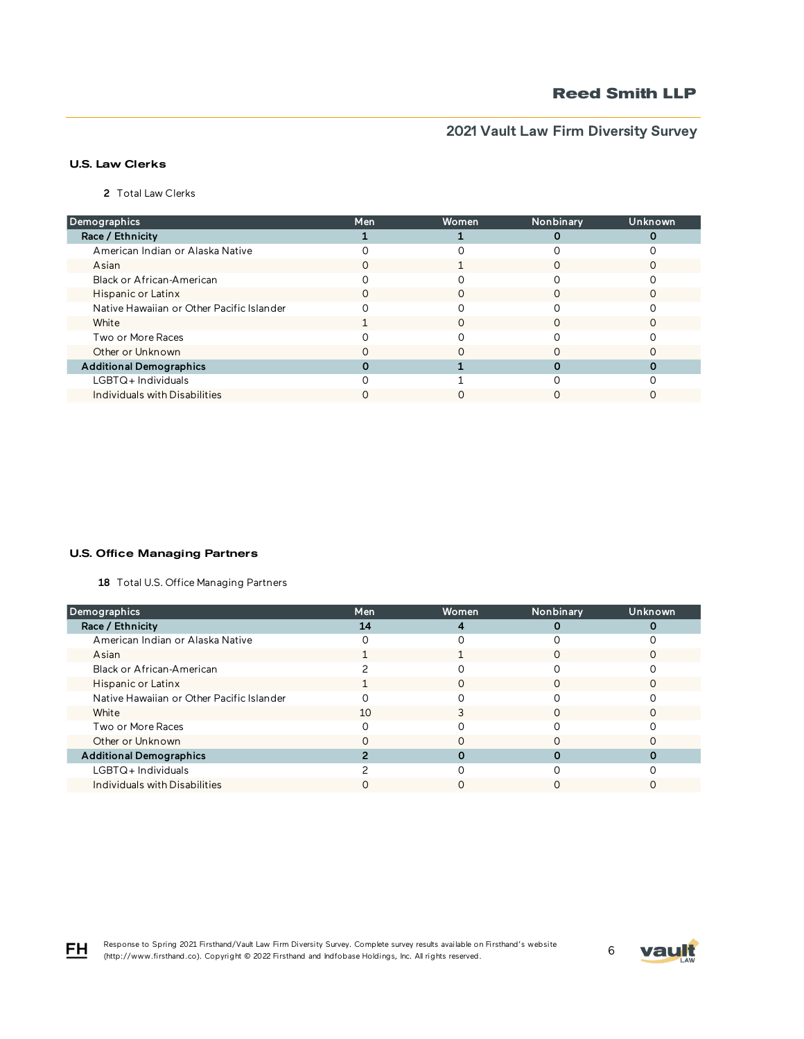# **2021 Vault Law Firm Diversity Survey**

## U.S. Law Clerks

2 Total Law Clerks

| Demographics                              | <b>Men</b> | Women | Nonbinary | Unknown |
|-------------------------------------------|------------|-------|-----------|---------|
| Race / Ethnicity                          |            |       |           |         |
| American Indian or Alaska Native          |            |       |           |         |
| Asian                                     |            |       |           |         |
| Black or African-American                 |            |       |           |         |
| Hispanic or Latinx                        | O          |       |           |         |
| Native Hawaiian or Other Pacific Islander |            |       |           |         |
| White                                     |            |       |           |         |
| Two or More Races                         |            |       |           |         |
| Other or Unknown                          |            |       |           |         |
| <b>Additional Demographics</b>            |            |       |           |         |
| $LGBTQ+$ Individuals                      |            |       |           |         |
| Individuals with Disabilities             |            |       |           |         |

#### U.S. Office Managing Partners

18 Total U.S. Office Managing Partners

| Demographics                              | Men | Women | Nonbinary | Unknown |
|-------------------------------------------|-----|-------|-----------|---------|
| Race / Ethnicity                          | 14  |       |           |         |
| American Indian or Alaska Native          |     |       |           |         |
| Asian                                     |     |       |           |         |
| Black or African-American                 |     |       |           |         |
| Hispanic or Latinx                        |     |       |           |         |
| Native Hawaiian or Other Pacific Islander |     |       |           |         |
| White                                     | 10  |       | ∩         |         |
| Two or More Races                         |     |       |           |         |
| Other or Unknown                          |     |       |           |         |
| <b>Additional Demographics</b>            |     |       |           |         |
| $LGBTQ+$ Individuals                      |     |       |           |         |
| Individuals with Disabilities             |     |       |           |         |

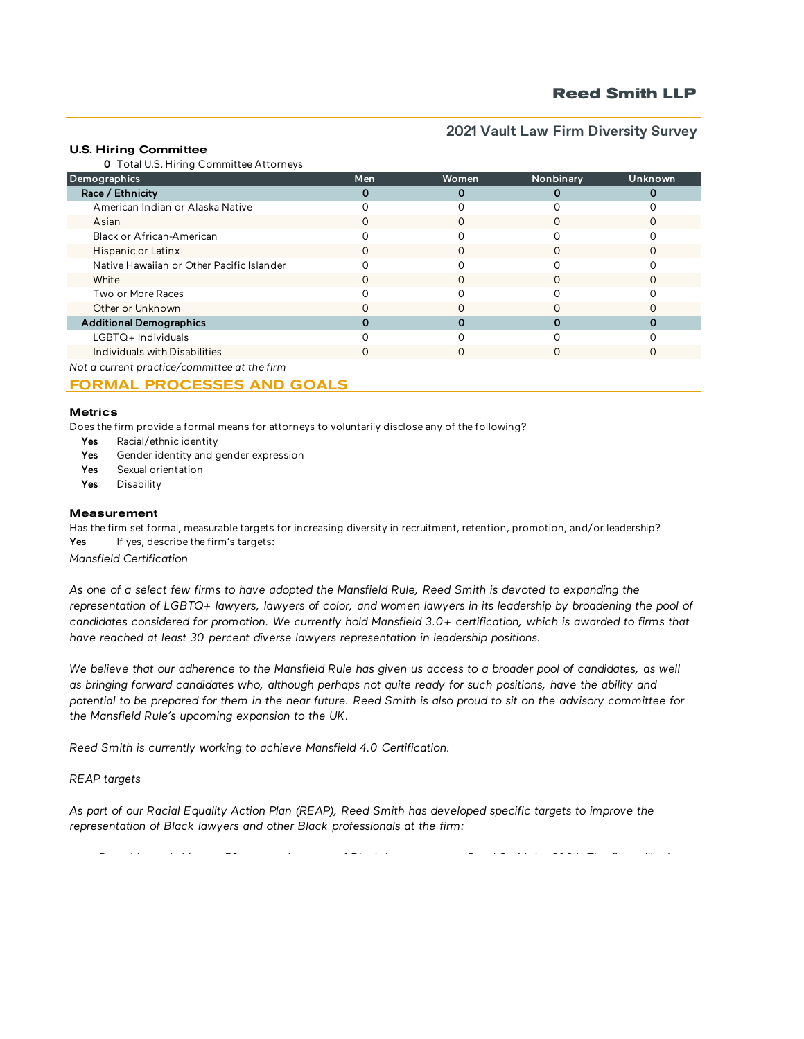#### U.S. Hiring Committee

0 Total U.S. Hiring Committee Attorneys

| Demographics                                 | Men | Women    | Nonbinary | Unknown |
|----------------------------------------------|-----|----------|-----------|---------|
| Race / Ethnicity                             | O   | O        |           |         |
| American Indian or Alaska Native             |     | Ω        |           |         |
| Asian                                        |     | $\Omega$ |           |         |
| Black or African-American                    |     | 0        |           |         |
| Hispanic or Latinx                           | Ω   | $\Omega$ |           |         |
| Native Hawaiian or Other Pacific Islander    |     | $\Omega$ |           |         |
| White                                        |     | O        |           |         |
| Two or More Races                            |     | 0        |           |         |
| Other or Unknown                             |     | $\Omega$ |           |         |
| <b>Additional Demographics</b>               |     | O        |           |         |
| LGBTQ+Individuals                            |     | O        |           |         |
| Individuals with Disabilities                |     | 0        |           |         |
| Not a current practice/committee at the firm |     |          |           |         |
| <b>FORMAL PROCESSES AND GOALS</b>            |     |          |           |         |

#### Metrics

Does the firm provide a formal means for attorneys to voluntarily disclose any of the following?

- Yes Racial/ethnic identity
- Yes Gender identity and gender expression
- Yes Sexual orientation
- Yes Disability

#### Measurement

Has the firm set formal, measurable targets for increasing diversity in recruitment, retention, promotion, and/or leadership? Yes If yes, describe the firm's targets:

*Mansfield Certification*

*As one of a select few firms to have adopted the Mansfield Rule, Reed Smith is devoted to expanding the*  representation of LGBTQ+ lawyers, lawyers of color, and women lawyers in its leadership by broadening the pool of *candidates considered for promotion. We currently hold Mansfield 3.0+ certification, which is awarded to firms that have reached at least 30 percent diverse lawyers representation in leadership positions.*

We believe that our adherence to the Mansfield Rule has given us access to a broader pool of candidates, as well *as bringing forward candidates who, although perhaps not quite ready for such positions, have the ability and potential to be prepared for them in the near future. Reed Smith is also proud to sit on the advisory committee for the Mansfield Rule's upcoming expansion to the UK.*

*Reed Smith is currently working to achieve Mansfield 4.0 Certification.*

#### *REAP targets*

*As part of our Racial Equality Action Plan (REAP), Reed Smith has developed specific targets to improve the representation of Black lawyers and other Black professionals at the firm:*

*• Recruiting – Achieve a 50 percent increase of Black lawyers across Reed Smith by 2024. The firm will take a*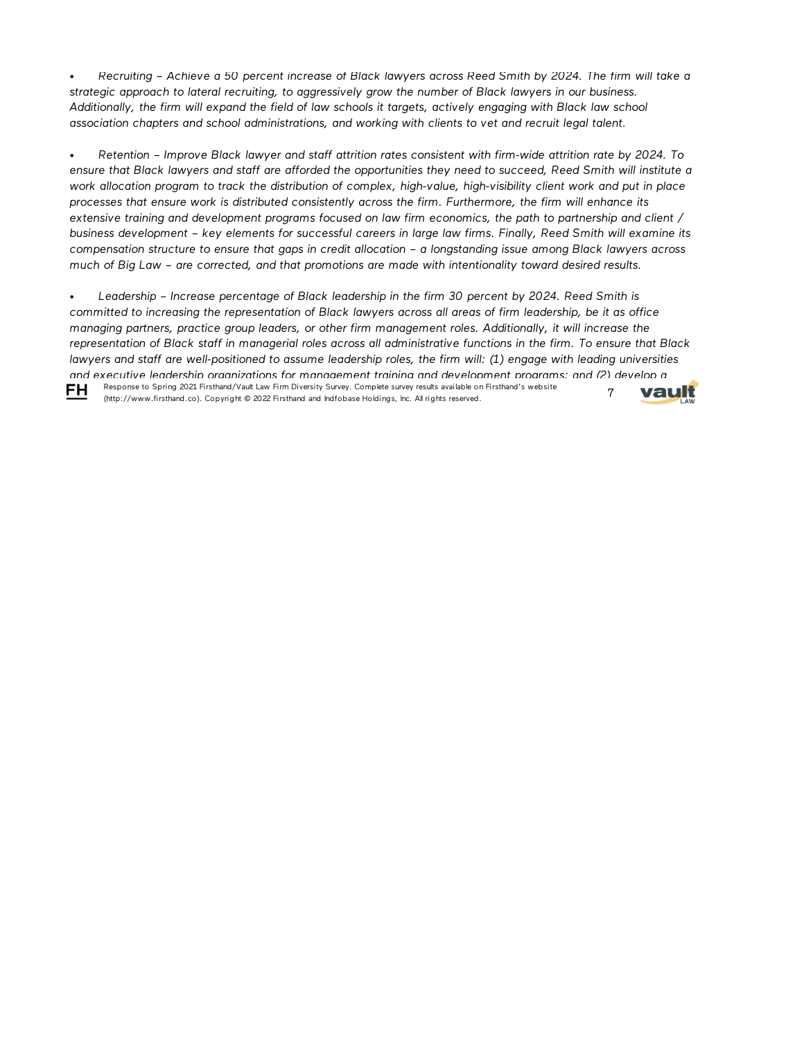*• Recruiting – Achieve a 50 percent increase of Black lawyers across Reed Smith by 2024. The firm will take a strategic approach to lateral recruiting, to aggressively grow the number of Black lawyers in our business. Additionally, the firm will expand the field of law schools it targets, actively engaging with Black law school association chapters and school administrations, and working with clients to vet and recruit legal talent.*

*• Retention – Improve Black lawyer and staff attrition rates consistent with firm-wide attrition rate by 2024. To ensure that Black lawyers and staff are afforded the opportunities they need to succeed, Reed Smith will institute a work allocation program to track the distribution of complex, high-value, high-visibility client work and put in place processes that ensure work is distributed consistently across the firm. Furthermore, the firm will enhance its extensive training and development programs focused on law firm economics, the path to partnership and client / business development – key elements for successful careers in large law firms. Finally, Reed Smith will examine its compensation structure to ensure that gaps in credit allocation – a longstanding issue among Black lawyers across much of Big Law – are corrected, and that promotions are made with intentionality toward desired results.*

*• Leadership – Increase percentage of Black leadership in the firm 30 percent by 2024. Reed Smith is committed to increasing the representation of Black lawyers across all areas of firm leadership, be it as office managing partners, practice group leaders, or other firm management roles. Additionally, it will increase the representation of Black staff in managerial roles across all administrative functions in the firm. To ensure that Black lawyers and staff are well-positioned to assume leadership roles, the firm will: (1) engage with leading universities and executive leadership organizations for management training and development programs; and (2) develop a* Response to Spring 2021 Firsthand/Vault Law Firm Diversity Survey. Complete survey results available on Firsthand's website FH vault

Response to Spring Zozi Firsthand/vadit Law Firm Diversity Survey. Complete survey results available on Firsthand's website<br>(http://www.firsthand.co). Copyright © 2022 Firsthand and Indfobase Holdings, Inc. All rights rese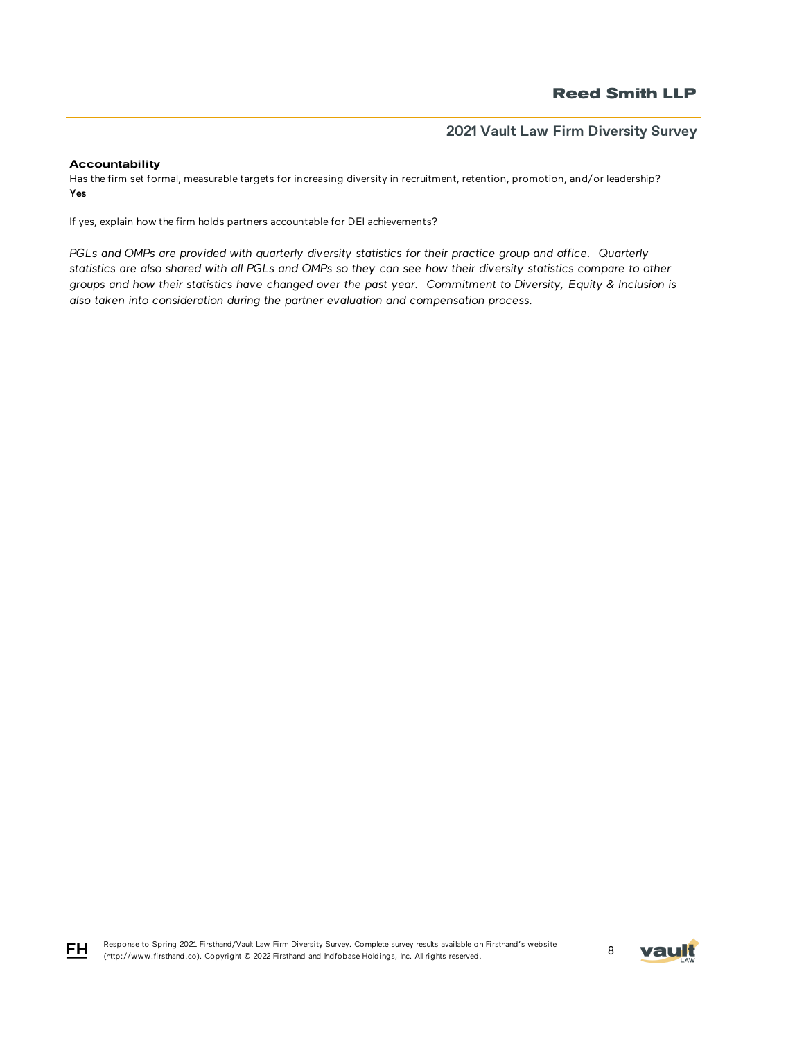### Accountability

Has the firm set formal, measurable targets for increasing diversity in recruitment, retention, promotion, and/or leadership? Yes

If yes, explain how the firm holds partners accountable for DEI achievements?

*PGLs and OMPs are provided with quarterly diversity statistics for their practice group and office. Quarterly statistics are also shared with all PGLs and OMPs so they can see how their diversity statistics compare to other groups and how their statistics have changed over the past year. Commitment to Diversity, Equity & Inclusion is also taken into consideration during the partner evaluation and compensation process.*



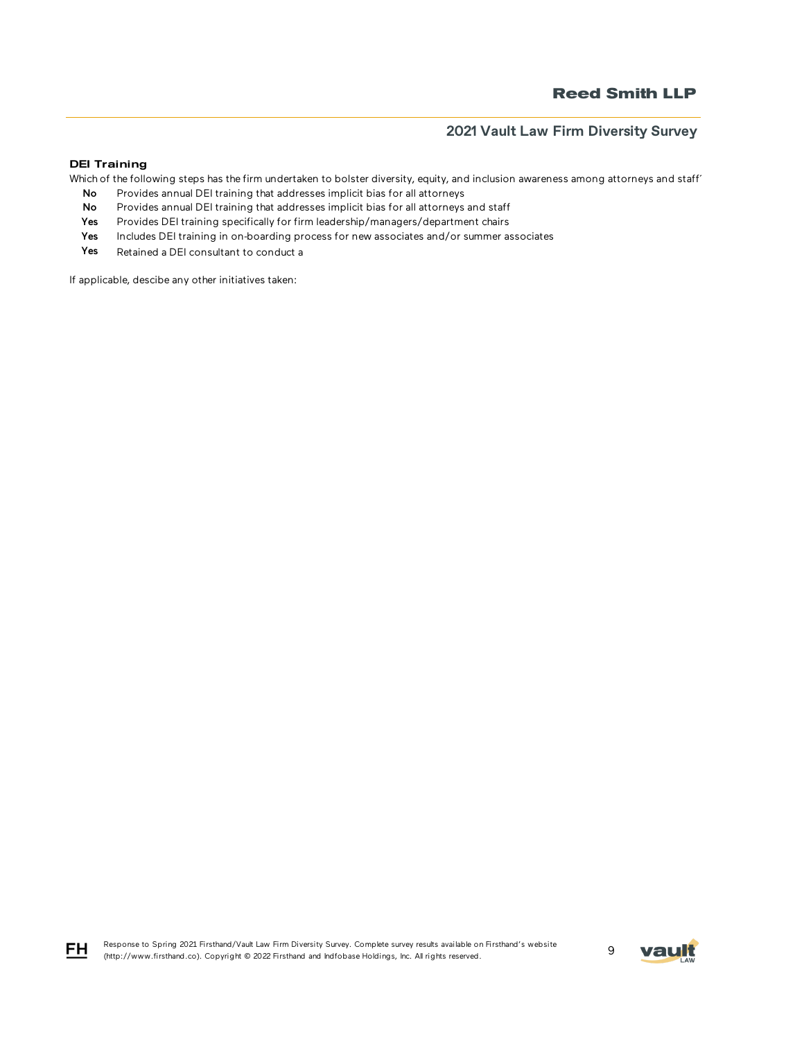#### DEI Training

FH

Which of the following steps has the firm undertaken to bolster diversity, equity, and inclusion awareness among attorneys and staff

- No Provides annual DEI training that addresses implicit bias for all attorneys
- No Provides annual DEI training that addresses implicit bias for all attorneys and staff
- Yes Provides DEI training specifically for firm leadership/managers/department chairs
- Yes Includes DEI training in on-boarding process for new associates and/or summer associates
- Yes Retained a DEI consultant to conduct a

If applicable, descibe any other initiatives taken:

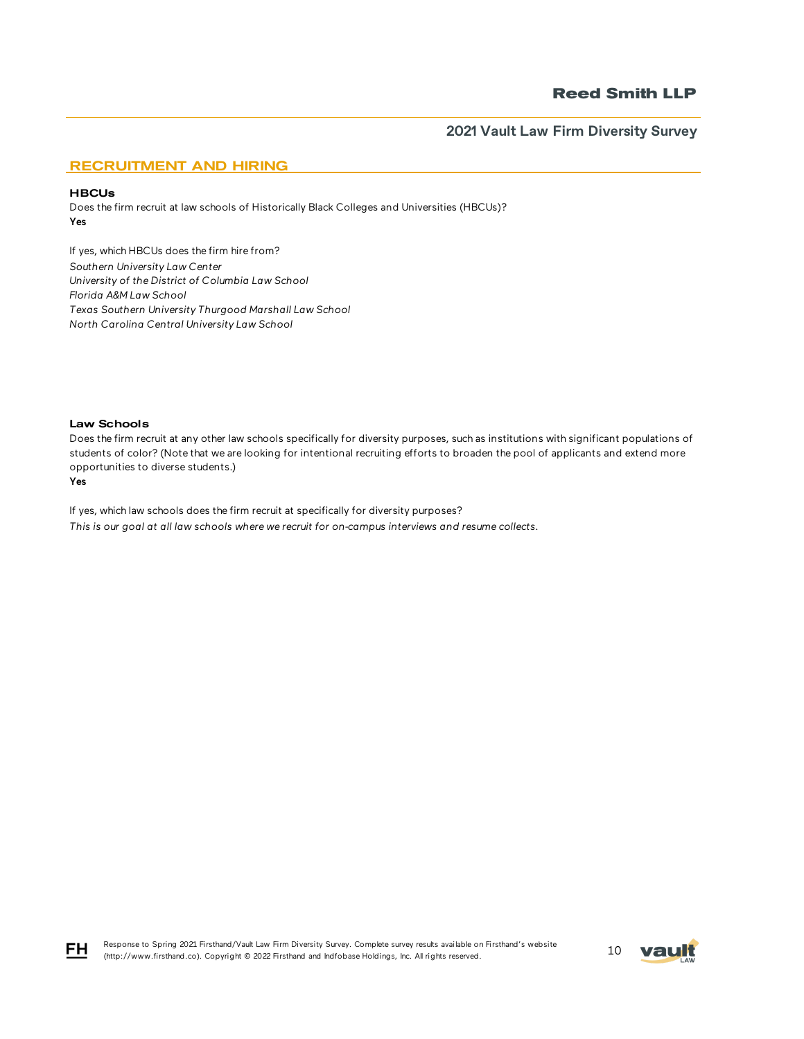# RECRUITMENT AND HIRING

### **HBCUs**

Does the firm recruit at law schools of Historically Black Colleges and Universities (HBCUs)? Yes

If yes, which HBCUs does the firm hire from? *Southern University Law Center University of the District of Columbia Law School Florida A&M Law School Texas Southern University Thurgood Marshall Law School North Carolina Central University Law School*

#### Law Schools

Does the firm recruit at any other law schools specifically for diversity purposes, such as institutions with significant populations of students of color? (Note that we are looking for intentional recruiting efforts to broaden the pool of applicants and extend more opportunities to diverse students.)

#### Yes

If yes, which law schools does the firm recruit at specifically for diversity purposes? *This is our goal at all law schools where we recruit for on-campus interviews and resume collects.*





FH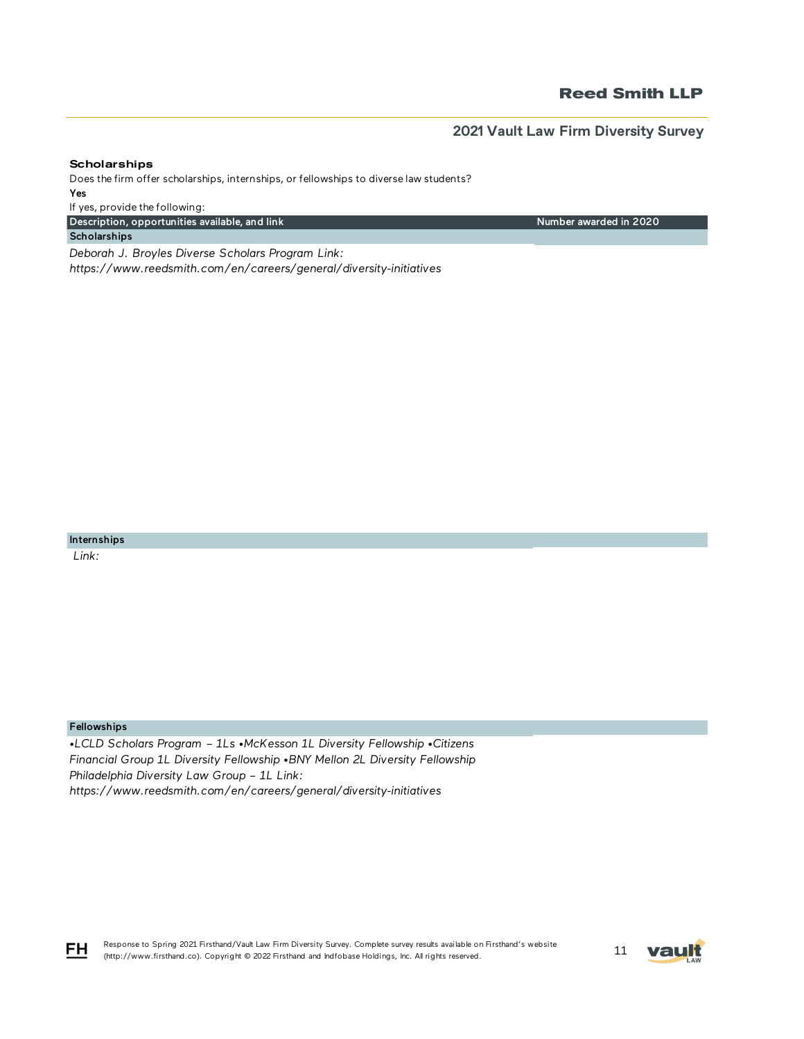Number awarded in 2020

### Scholarships

Does the firm offer scholarships, internships, or fellowships to diverse law students? Yes

If yes, provide the following:

Description, opportunities available, and link

# **Scholarships**

*Deborah J. Broyles Diverse Scholars Program Link: https://www.reedsmith.com/en/careers/general/diversity-initiatives* 

# Internships

 *Link:* 

## Fellowships

*•LCLD Scholars Program – 1Ls •McKesson 1L Diversity Fellowship •Citizens Financial Group 1L Diversity Fellowship •BNY Mellon 2L Diversity Fellowship Philadelphia Diversity Law Group – 1L Link: https://www.reedsmith.com/en/careers/general/diversity-initiatives* 



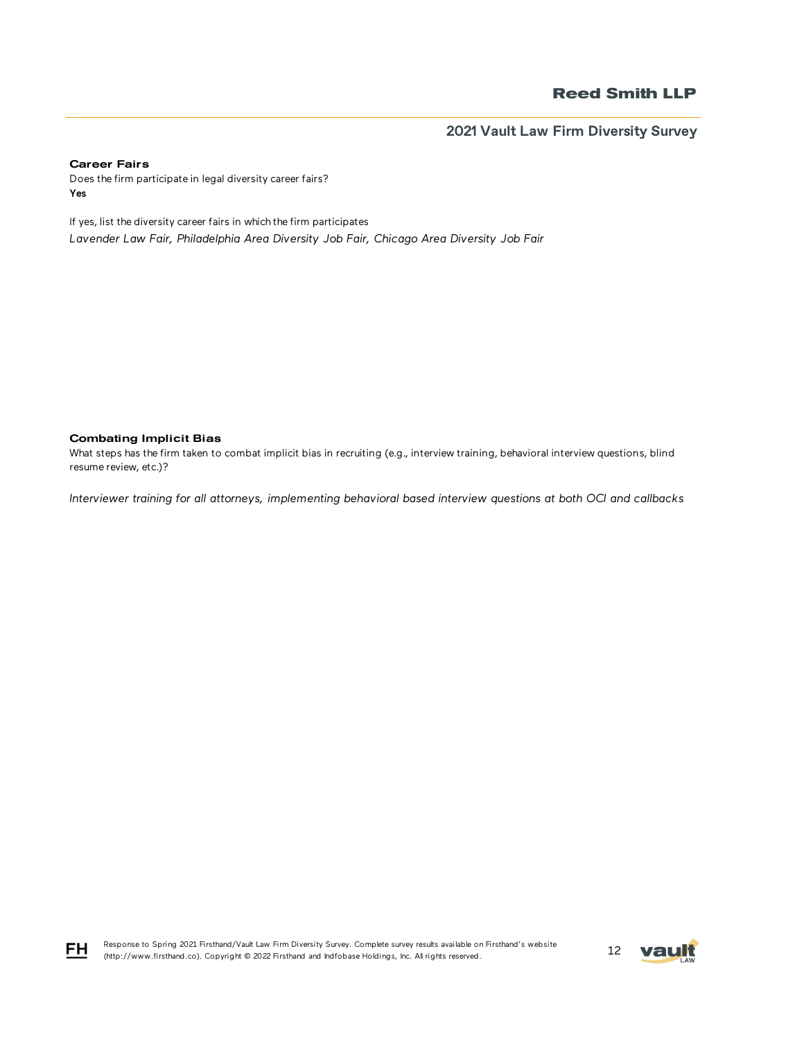#### Career Fairs

Does the firm participate in legal diversity career fairs? Yes

If yes, list the diversity career fairs in which the firm participates *Lavender Law Fair, Philadelphia Area Diversity Job Fair, Chicago Area Diversity Job Fair*

### Combating Implicit Bias

What steps has the firm taken to combat implicit bias in recruiting (e.g., interview training, behavioral interview questions, blind resume review, etc.)?

*Interviewer training for all attorneys, implementing behavioral based interview questions at both OCI and callbacks*



FH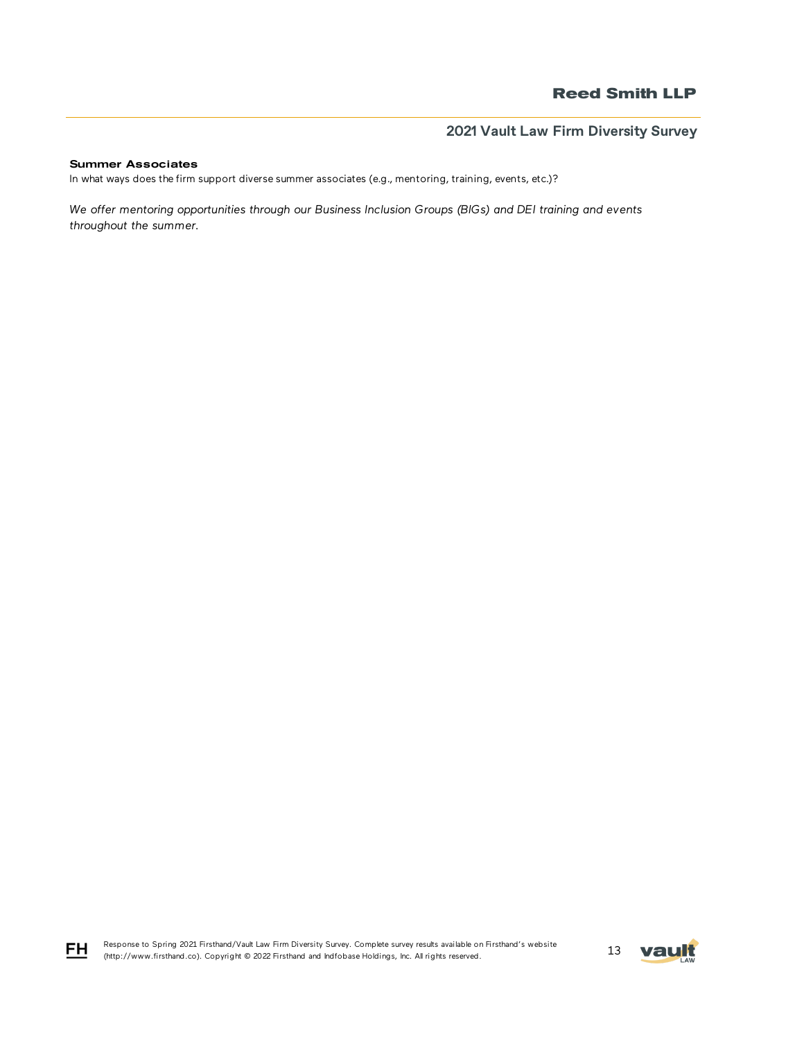### Summer Associates

In what ways does the firm support diverse summer associates (e.g., mentoring, training, events, etc.)?

*We offer mentoring opportunities through our Business Inclusion Groups (BIGs) and DEI training and events throughout the summer.*



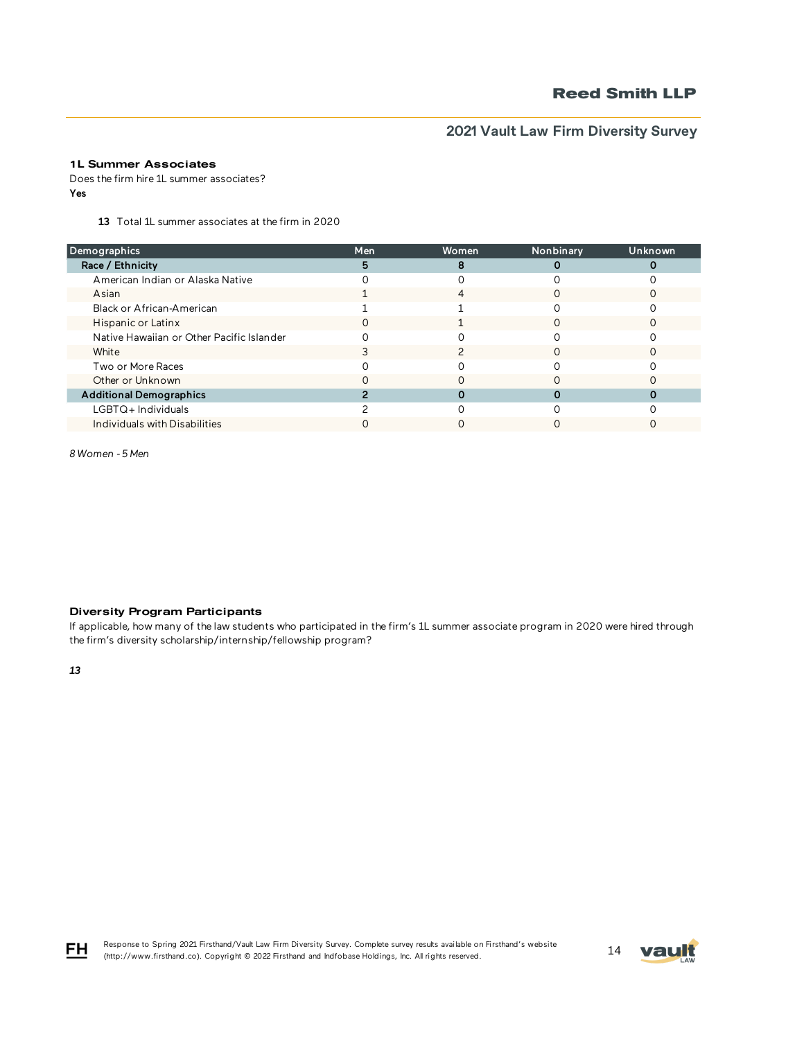## 1L Summer Associates

Does the firm hire 1L summer associates? Yes

13 Total 1L summer associates at the firm in 2020

| <b>Men</b>       | Women          | Nonbinary | Unknown |
|------------------|----------------|-----------|---------|
|                  |                |           |         |
|                  |                |           |         |
|                  | $\overline{4}$ |           |         |
|                  |                |           |         |
| $\left( \right)$ |                |           |         |
|                  |                |           |         |
|                  |                |           |         |
|                  |                |           |         |
|                  |                |           |         |
|                  |                |           |         |
|                  |                |           |         |
|                  |                |           |         |
|                  |                |           |         |

*8 Women - 5 Men*

### Diversity Program Participants

If applicable, how many of the law students who participated in the firm's 1L summer associate program in 2020 were hired through the firm's diversity scholarship/internship/fellowship program?

*13*



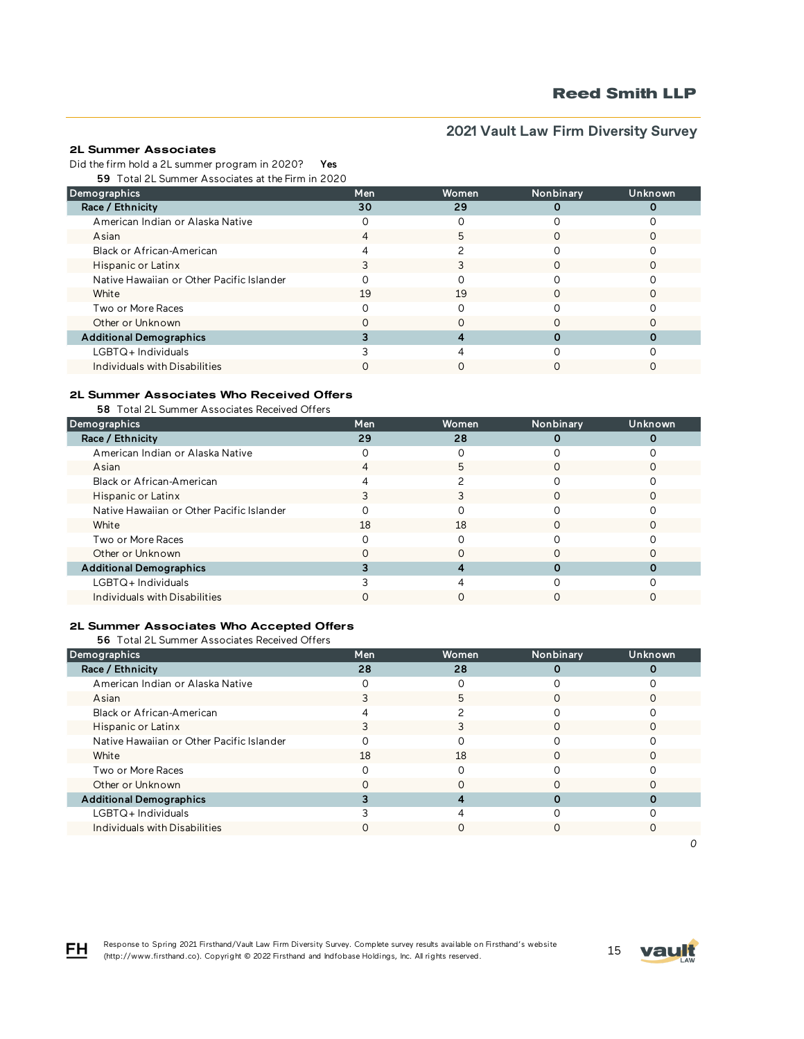# **2021 Vault Law Firm Diversity Survey**

## 2L Summer Associates

Did the firm hold a 2L summer program in 2020? Yes

59 Total 2L Summer Associates at the Firm in 2020

| Men | Women | Nonbinary | Unknown |
|-----|-------|-----------|---------|
| 30  | 29    |           |         |
|     |       |           |         |
| 4   | 5     |           |         |
|     |       |           |         |
|     |       |           |         |
|     |       |           |         |
| 19  | 19    |           |         |
|     |       |           |         |
|     |       |           |         |
|     |       |           |         |
|     |       |           |         |
|     |       |           |         |
|     |       |           |         |

## 2L Summer Associates Who Received Offers

58 Total 2L Summer Associates Received Offers

| Demographics                              | Men | <b>Women</b> | Nonbinary | Unknown |
|-------------------------------------------|-----|--------------|-----------|---------|
| Race / Ethnicity                          | 29  | 28           |           |         |
| American Indian or Alaska Native          |     |              |           |         |
| Asian                                     |     | 5            |           |         |
| Black or African-American                 |     |              |           |         |
| Hispanic or Latinx                        |     |              | ∩         |         |
| Native Hawaiian or Other Pacific Islander |     |              |           |         |
| White                                     | 18  | 18           |           |         |
| Two or More Races                         |     |              |           |         |
| Other or Unknown                          |     |              |           |         |
| <b>Additional Demographics</b>            |     |              |           |         |
| LGBTQ+Individuals                         |     |              |           |         |
| Individuals with Disabilities             |     |              |           |         |

### 2L Summer Associates Who Accepted Offers

56 Total 2L Summer Associates Received Offers

| Demographics                              | Men | Women | Nonbinary | Unknown |
|-------------------------------------------|-----|-------|-----------|---------|
| Race / Ethnicity                          | 28  | 28    |           |         |
| American Indian or Alaska Native          |     |       |           |         |
| Asian                                     |     | 5     |           |         |
| Black or African-American                 |     |       |           |         |
| Hispanic or Latinx                        |     |       |           |         |
| Native Hawaiian or Other Pacific Islander |     |       |           |         |
| White                                     | 18  | 18    |           |         |
| Two or More Races                         |     |       |           |         |
| Other or Unknown                          |     |       |           |         |
| <b>Additional Demographics</b>            |     |       |           |         |
| $LGBTQ+$ Individuals                      |     |       |           |         |
| Individuals with Disabilities             |     |       |           |         |
|                                           |     |       |           |         |

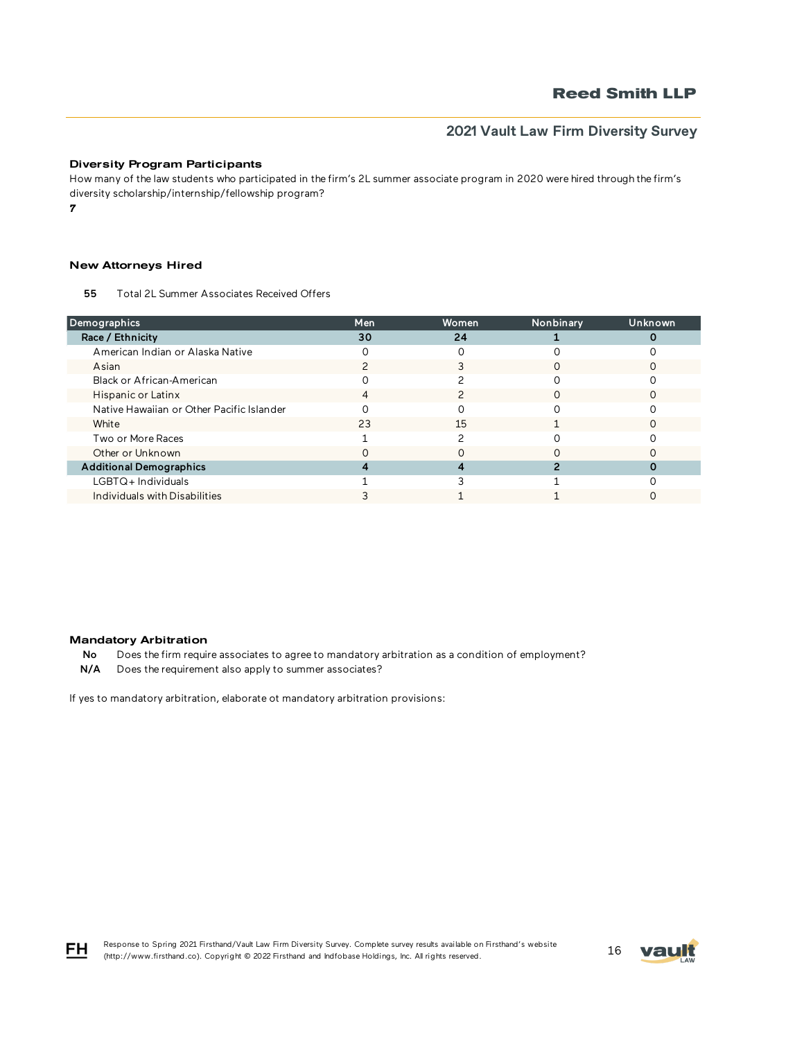### Diversity Program Participants

How many of the law students who participated in the firm's 2L summer associate program in 2020 were hired through the firm's diversity scholarship/internship/fellowship program?

*7*

### New Attorneys Hired

55 Total 2L Summer Associates Received Offers

| Demographics                              | Men | Women | Nonbinary | Unknown |
|-------------------------------------------|-----|-------|-----------|---------|
| Race / Ethnicity                          | 30  | 24    |           |         |
| American Indian or Alaska Native          |     |       |           |         |
| Asian                                     |     |       |           |         |
| Black or African-American                 |     |       |           |         |
| Hispanic or Latinx                        | 4   |       |           |         |
| Native Hawaiian or Other Pacific Islander |     |       |           |         |
| White                                     | 23  | 15    |           |         |
| Two or More Races                         |     |       |           |         |
| Other or Unknown                          |     |       |           |         |
| <b>Additional Demographics</b>            |     |       |           |         |
| LGBTQ+Individuals                         |     |       |           |         |
| Individuals with Disabilities             |     |       |           |         |

#### Mandatory Arbitration

No Does the firm require associates to agree to mandatory arbitration as a condition of employment?

N/A Does the requirement also apply to summer associates?

If yes to mandatory arbitration, elaborate ot mandatory arbitration provisions:





FH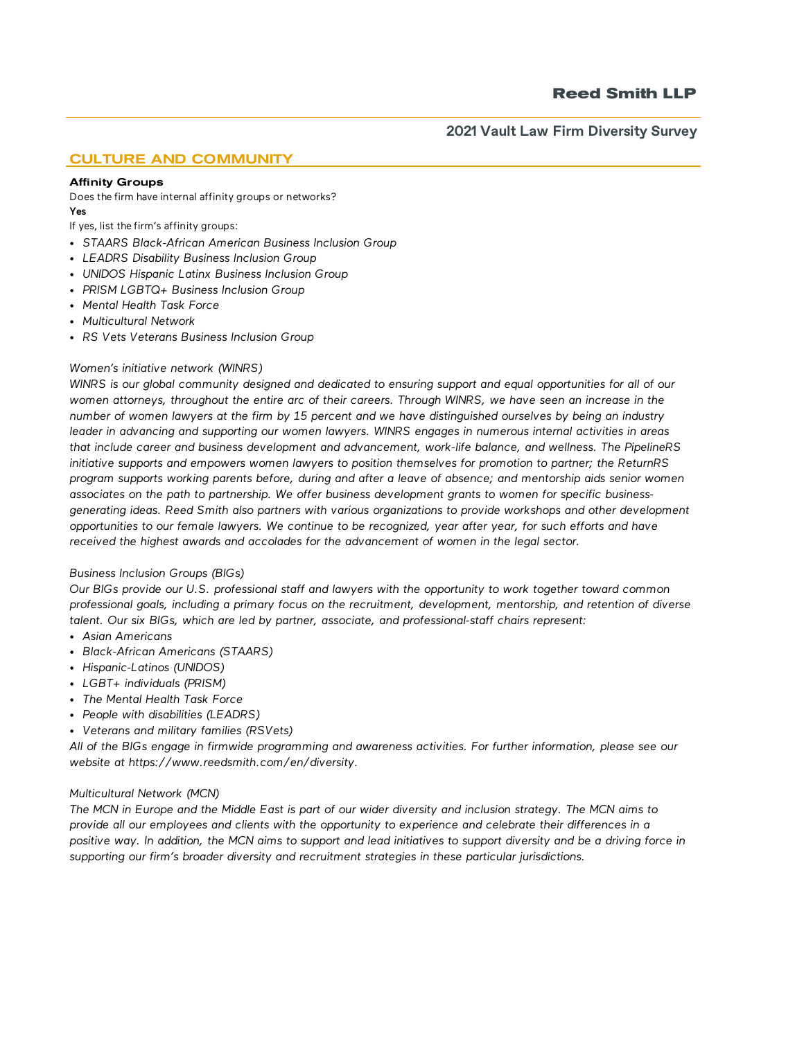# CULTURE AND COMMUNITY

### Affinity Groups

Does the firm have internal affinity groups or networks? Yes

If yes, list the firm's affinity groups:

- *STAARS Black-African American Business Inclusion Group*
- *LEADRS Disability Business Inclusion Group*
- *UNIDOS Hispanic Latinx Business Inclusion Group*
- *PRISM LGBTQ+ Business Inclusion Group*
- *Mental Health Task Force*
- *Multicultural Network*
- *RS Vets Veterans Business Inclusion Group*

## *Women's initiative network (WINRS)*

*WINRS is our global community designed and dedicated to ensuring support and equal opportunities for all of our women attorneys, throughout the entire arc of their careers. Through WINRS, we have seen an increase in the number of women lawyers at the firm by 15 percent and we have distinguished ourselves by being an industry leader in advancing and supporting our women lawyers. WINRS engages in numerous internal activities in areas that include career and business development and advancement, work-life balance, and wellness. The PipelineRS initiative supports and empowers women lawyers to position themselves for promotion to partner; the ReturnRS program supports working parents before, during and after a leave of absence; and mentorship aids senior women associates on the path to partnership. We offer business development grants to women for specific businessgenerating ideas. Reed Smith also partners with various organizations to provide workshops and other development opportunities to our female lawyers. We continue to be recognized, year after year, for such efforts and have received the highest awards and accolades for the advancement of women in the legal sector.*

### *Business Inclusion Groups (BIGs)*

*Our BIGs provide our U.S. professional staff and lawyers with the opportunity to work together toward common professional goals, including a primary focus on the recruitment, development, mentorship, and retention of diverse talent. Our six BIGs, which are led by partner, associate, and professional-staff chairs represent:*

- *Asian Americans*
- *Black-African Americans (STAARS)*
- *Hispanic-Latinos (UNIDOS)*
- *LGBT+ individuals (PRISM)*
- *The Mental Health Task Force*
- *People with disabilities (LEADRS)*
- *Veterans and military families (RSVets)*

*All of the BIGs engage in firmwide programming and awareness activities. For further information, please see our website at https://www.reedsmith.com/en/diversity.*

### *Multicultural Network (MCN)*

*The MCN in Europe and the Middle East is part of our wider diversity and inclusion strategy. The MCN aims to provide all our employees and clients with the opportunity to experience and celebrate their differences in a positive way. In addition, the MCN aims to support and lead initiatives to support diversity and be a driving force in supporting our firm's broader diversity and recruitment strategies in these particular jurisdictions.*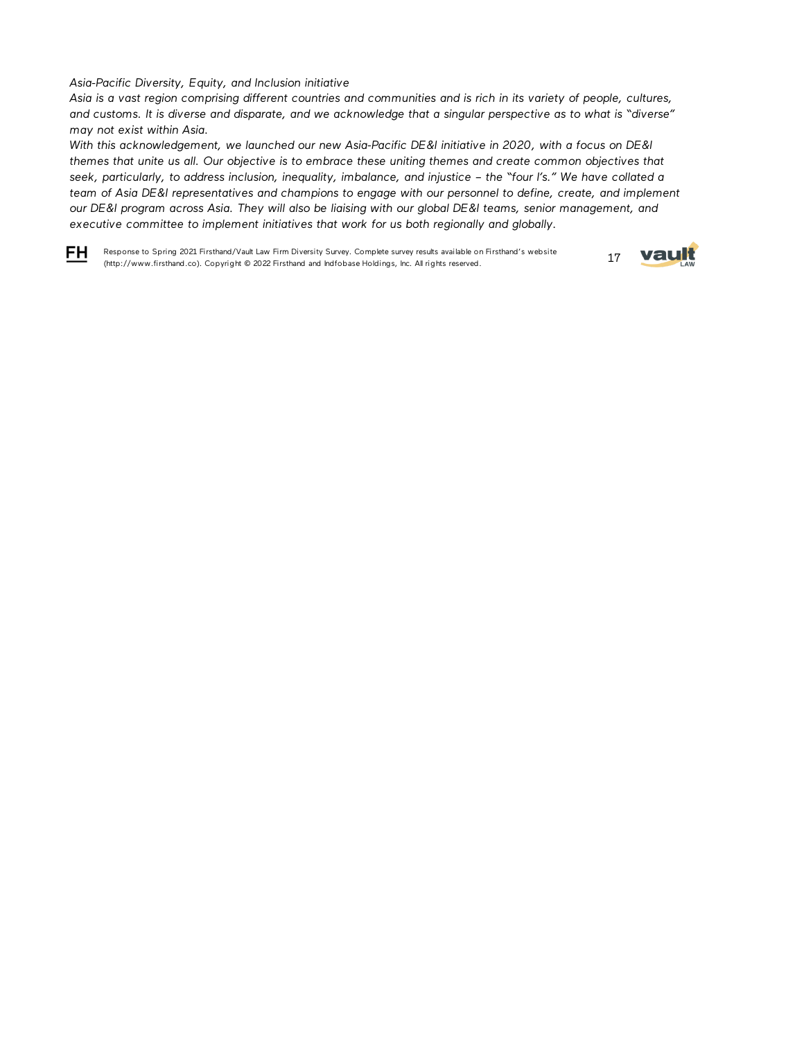*Asia-Pacific Diversity, Equity, and Inclusion initiative*

*Asia is a vast region comprising different countries and communities and is rich in its variety of people, cultures, and customs. It is diverse and disparate, and we acknowledge that a singular perspective as to what is "diverse" may not exist within Asia.*

*With this acknowledgement, we launched our new Asia-Pacific DE&I initiative in 2020, with a focus on DE&I themes that unite us all. Our objective is to embrace these uniting themes and create common objectives that seek, particularly, to address inclusion, inequality, imbalance, and injustice – the "four I's." We have collated a team of Asia DE&I representatives and champions to engage with our personnel to define, create, and implement our DE&I program across Asia. They will also be liaising with our global DE&I teams, senior management, and executive committee to implement initiatives that work for us both regionally and globally.*

FH

Response to Spring 2021 Firsthand/Vault Law Firm Diversity Survey. Complete survey results available on Firsthand's website Response to Spring 2021 Firsthand/Vault Law Firm Diversity Survey. Complete survey results available on Firsthand's website<br>(http://www.firsthand.co). Copyright © 2022 Firsthand and Indfobase Holdings, Inc. All rights rese

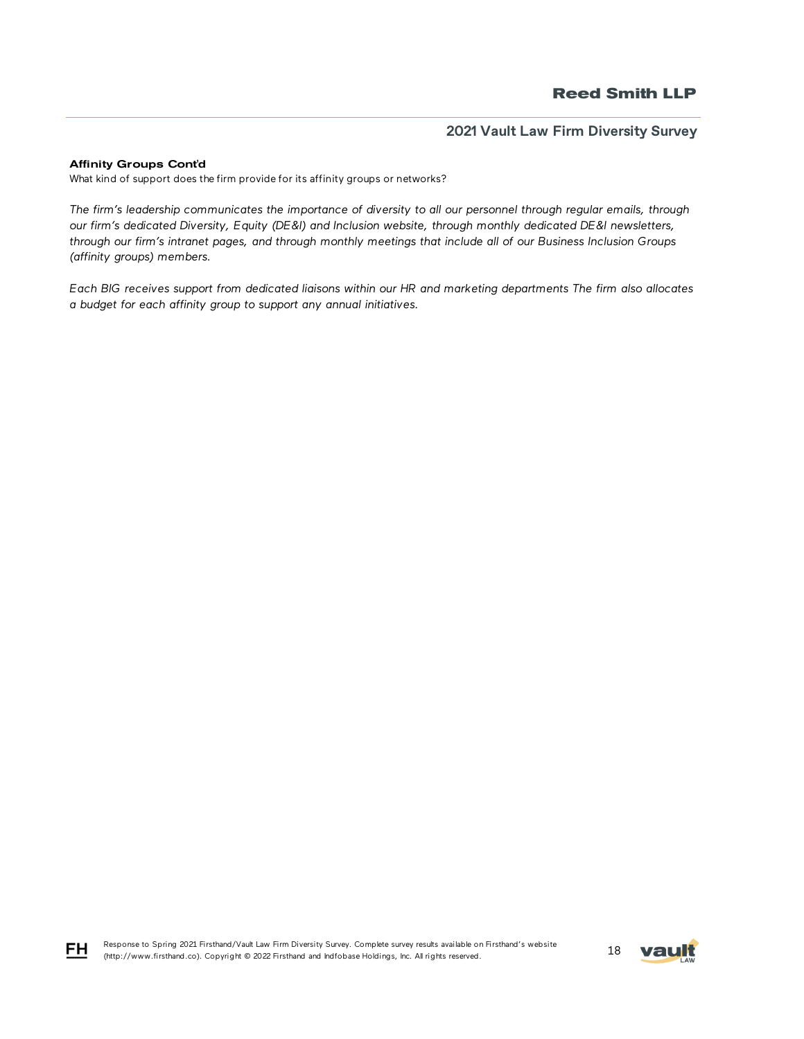### Affinity Groups Cont'd

What kind of support does the firm provide for its affinity groups or networks?

*The firm's leadership communicates the importance of diversity to all our personnel through regular emails, through our firm's dedicated Diversity, Equity (DE&I) and Inclusion website, through monthly dedicated DE&I newsletters, through our firm's intranet pages, and through monthly meetings that include all of our Business Inclusion Groups (affinity groups) members.*

*Each BIG receives support from dedicated liaisons within our HR and marketing departments The firm also allocates a budget for each affinity group to support any annual initiatives.*



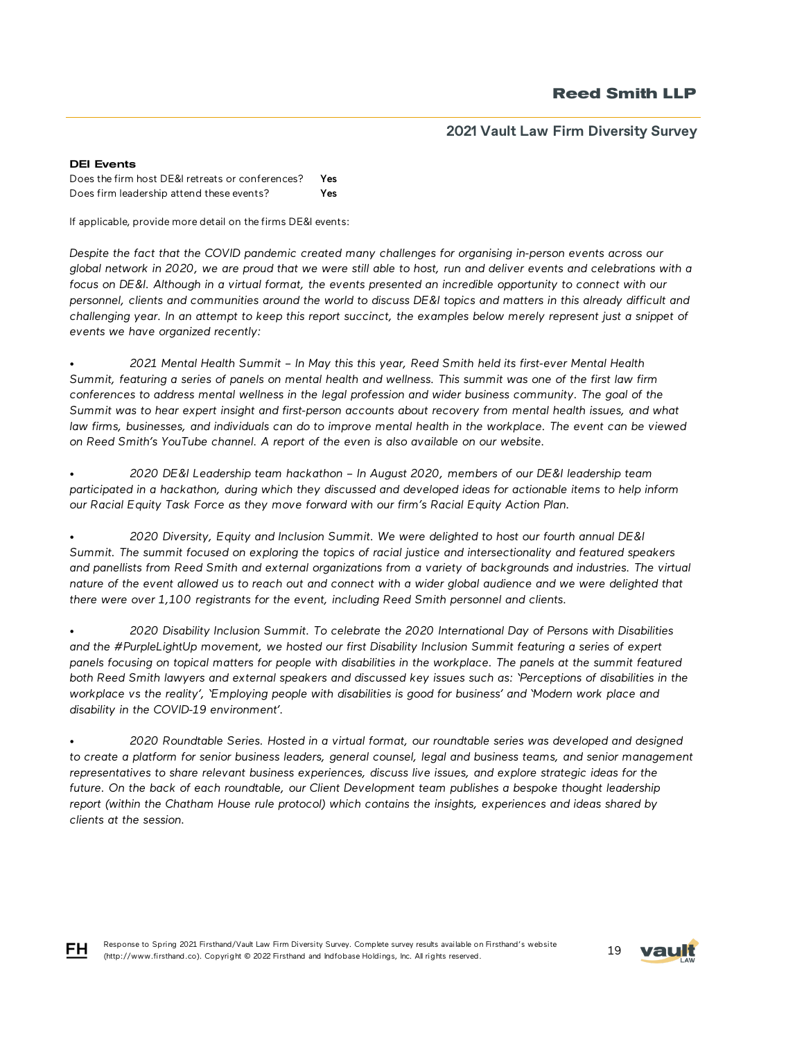#### DEI Events

Does the firm host DE&I retreats or conferences? Vest Does firm leadership attend these events? Yes

If applicable, provide more detail on the firms DE&I events:

*Despite the fact that the COVID pandemic created many challenges for organising in-person events across our global network in 2020, we are proud that we were still able to host, run and deliver events and celebrations with a focus on DE&I. Although in a virtual format, the events presented an incredible opportunity to connect with our personnel, clients and communities around the world to discuss DE&I topics and matters in this already difficult and challenging year. In an attempt to keep this report succinct, the examples below merely represent just a snippet of events we have organized recently:*

*• 2021 Mental Health Summit – In May this this year, Reed Smith held its first-ever Mental Health Summit, featuring a series of panels on mental health and wellness. This summit was one of the first law firm conferences to address mental wellness in the legal profession and wider business community. The goal of the Summit was to hear expert insight and first-person accounts about recovery from mental health issues, and what law firms, businesses, and individuals can do to improve mental health in the workplace. The event can be viewed on Reed Smith's YouTube channel. A report of the even is also available on our website.*

*• 2020 DE&I Leadership team hackathon – In August 2020, members of our DE&I leadership team participated in a hackathon, during which they discussed and developed ideas for actionable items to help inform our Racial Equity Task Force as they move forward with our firm's Racial Equity Action Plan.*

*• 2020 Diversity, Equity and Inclusion Summit. We were delighted to host our fourth annual DE&I Summit. The summit focused on exploring the topics of racial justice and intersectionality and featured speakers and panellists from Reed Smith and external organizations from a variety of backgrounds and industries. The virtual*  nature of the event allowed us to reach out and connect with a wider global audience and we were delighted that *there were over 1,100 registrants for the event, including Reed Smith personnel and clients.*

*• 2020 Disability Inclusion Summit. To celebrate the 2020 International Day of Persons with Disabilities and the #PurpleLightUp movement, we hosted our first Disability Inclusion Summit featuring a series of expert panels focusing on topical matters for people with disabilities in the workplace. The panels at the summit featured both Reed Smith lawyers and external speakers and discussed key issues such as: 'Perceptions of disabilities in the*  workplace vs the reality', 'Employing people with disabilities is good for business' and 'Modern work place and *disability in the COVID-19 environment'.*

*• 2020 Roundtable Series. Hosted in a virtual format, our roundtable series was developed and designed to create a platform for senior business leaders, general counsel, legal and business teams, and senior management representatives to share relevant business experiences, discuss live issues, and explore strategic ideas for the future. On the back of each roundtable, our Client Development team publishes a bespoke thought leadership report (within the Chatham House rule protocol) which contains the insights, experiences and ideas shared by clients at the session.*



FH.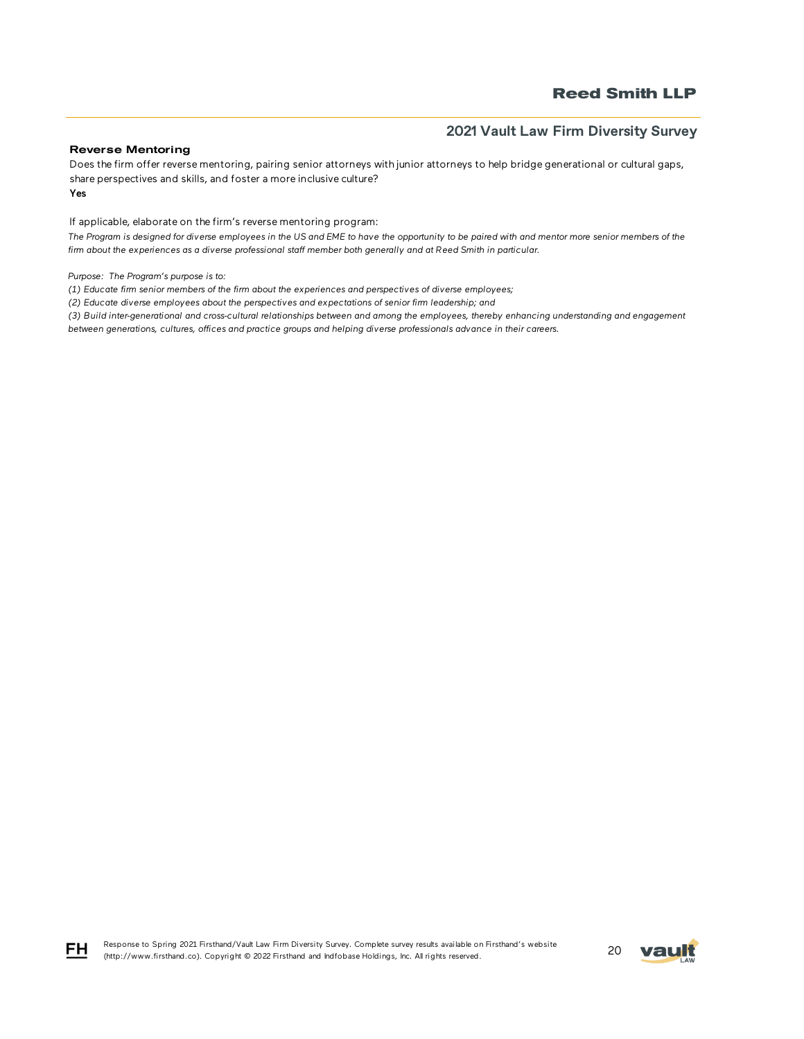## Reverse Mentoring

Yes Does the firm offer reverse mentoring, pairing senior attorneys with junior attorneys to help bridge generational or cultural gaps, share perspectives and skills, and foster a more inclusive culture?

If applicable, elaborate on the firm's reverse mentoring program:

*The Program is designed for diverse employees in the US and EME to have the opportunity to be paired with and mentor more senior members of the firm about the experiences as a diverse professional staff member both generally and at Reed Smith in particular.* 

*Purpose: The Program's purpose is to:* 

*(1) Educate firm senior members of the firm about the experiences and perspectives of diverse employees;* 

*(2) Educate diverse employees about the perspectives and expectations of senior firm leadership; and* 

*(3) Build inter-generational and cross-cultural relationships between and among the employees, thereby enhancing understanding and engagement between generations, cultures, offices and practice groups and helping diverse professionals advance in their careers.*





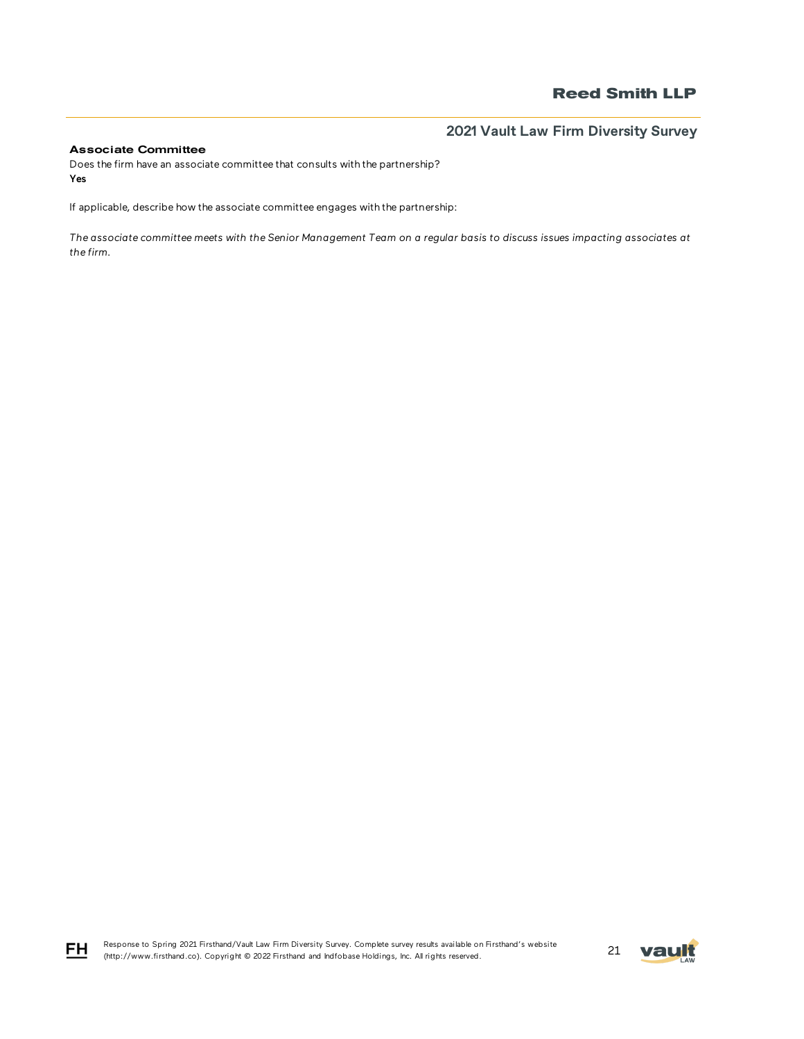### Associate Committee

Does the firm have an associate committee that consults with the partnership? Yes

If applicable, describe how the associate committee engages with the partnership:

*The associate committee meets with the Senior Management Team on a regular basis to discuss issues impacting associates at the firm.* 





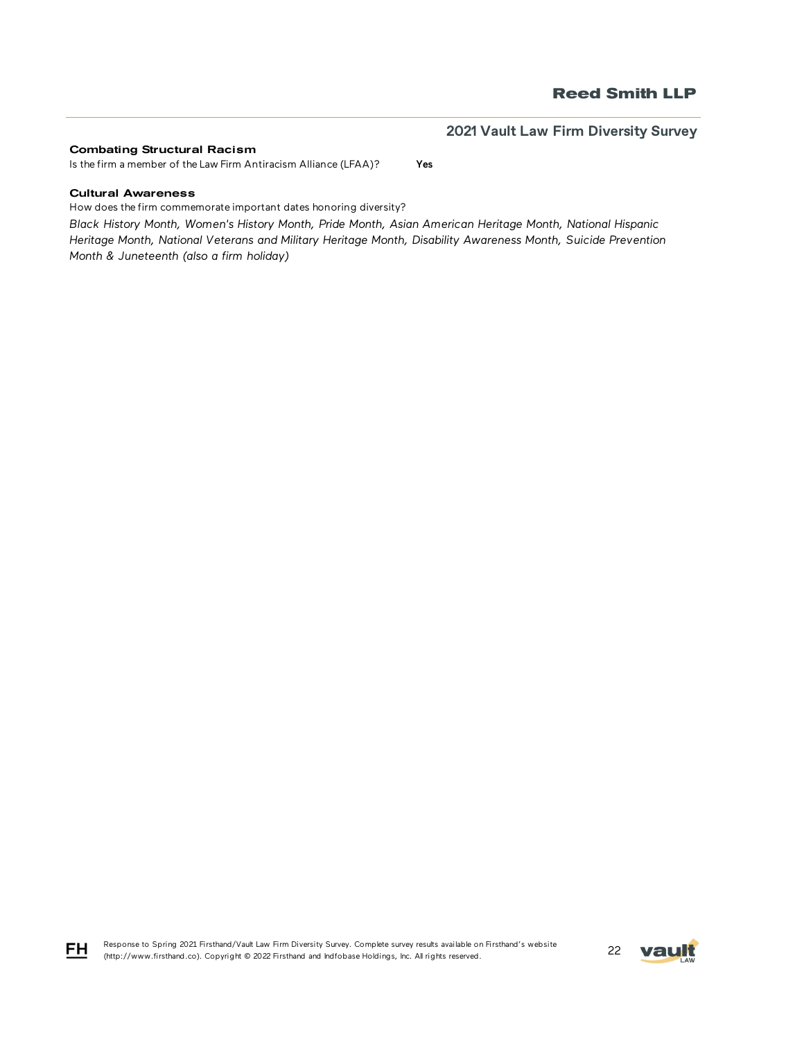#### Combating Structural Racism

Is the firm a member of the Law Firm Antiracism Alliance (LFAA)? Yes

### Cultural Awareness

How does the firm commemorate important dates honoring diversity?

*Black History Month, Women's History Month, Pride Month, Asian American Heritage Month, National Hispanic Heritage Month, National Veterans and Military Heritage Month, Disability Awareness Month, Suicide Prevention Month & Juneteenth (also a firm holiday)*





FH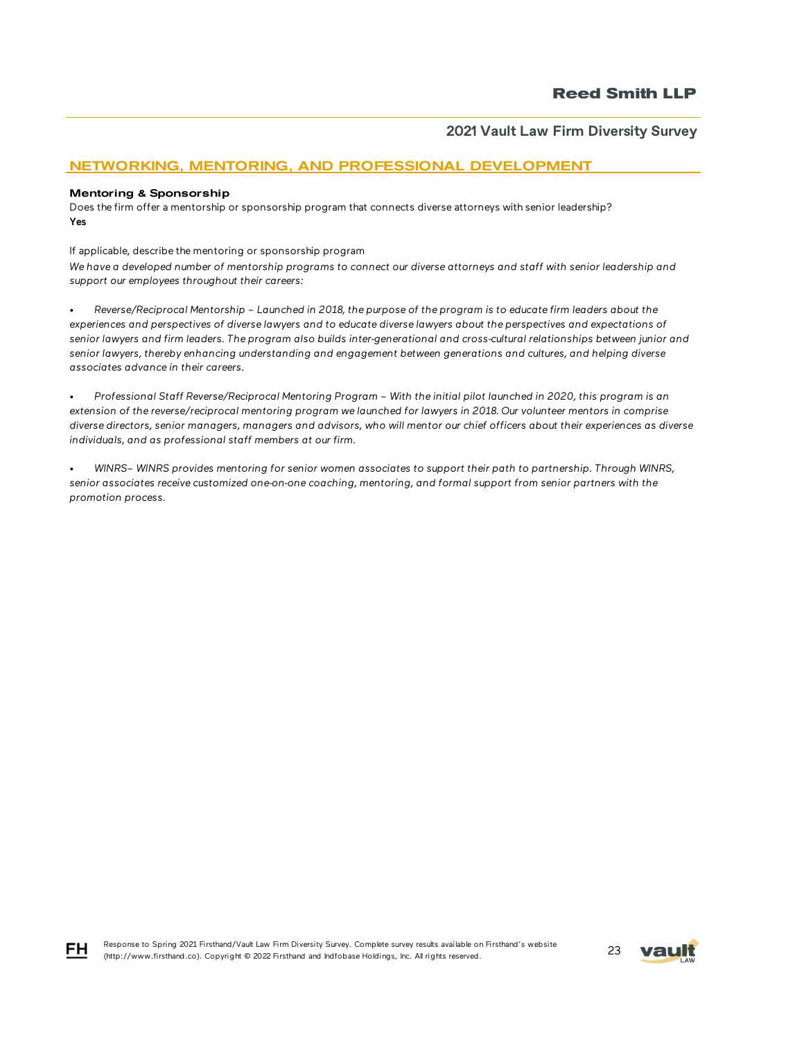# NETWORKING, MENTORING, AND PROFESSIONAL DEVELOPMENT

#### Mentoring & Sponsorship

Does the firm offer a mentorship or sponsorship program that connects diverse attorneys with senior leadership? Yes

If applicable, describe the mentoring or sponsorship program

We have a developed number of mentorship programs to connect our diverse attorneys and staff with senior leadership and *support our employees throughout their careers:*

*• Reverse/Reciprocal Mentorship – Launched in 2018, the purpose of the program is to educate firm leaders about the*  experiences and perspectives of diverse lawyers and to educate diverse lawyers about the perspectives and expectations of *senior lawyers and firm leaders. The program also builds inter-generational and cross-cultural relationships between junior and senior lawyers, thereby enhancing understanding and engagement between generations and cultures, and helping diverse associates advance in their careers.*

*• Professional Staff Reverse/Reciprocal Mentoring Program – With the initial pilot launched in 2020, this program is an extension of the reverse/reciprocal mentoring program we launched for lawyers in 2018. Our volunteer mentors in comprise diverse directors, senior managers, managers and advisors, who will mentor our chief officers about their experiences as diverse individuals, and as professional staff members at our firm.*

*• WINRS– WINRS provides mentoring for senior women associates to support their path to partnership. Through WINRS, senior associates receive customized one-on-one coaching, mentoring, and formal support from senior partners with the promotion process.*



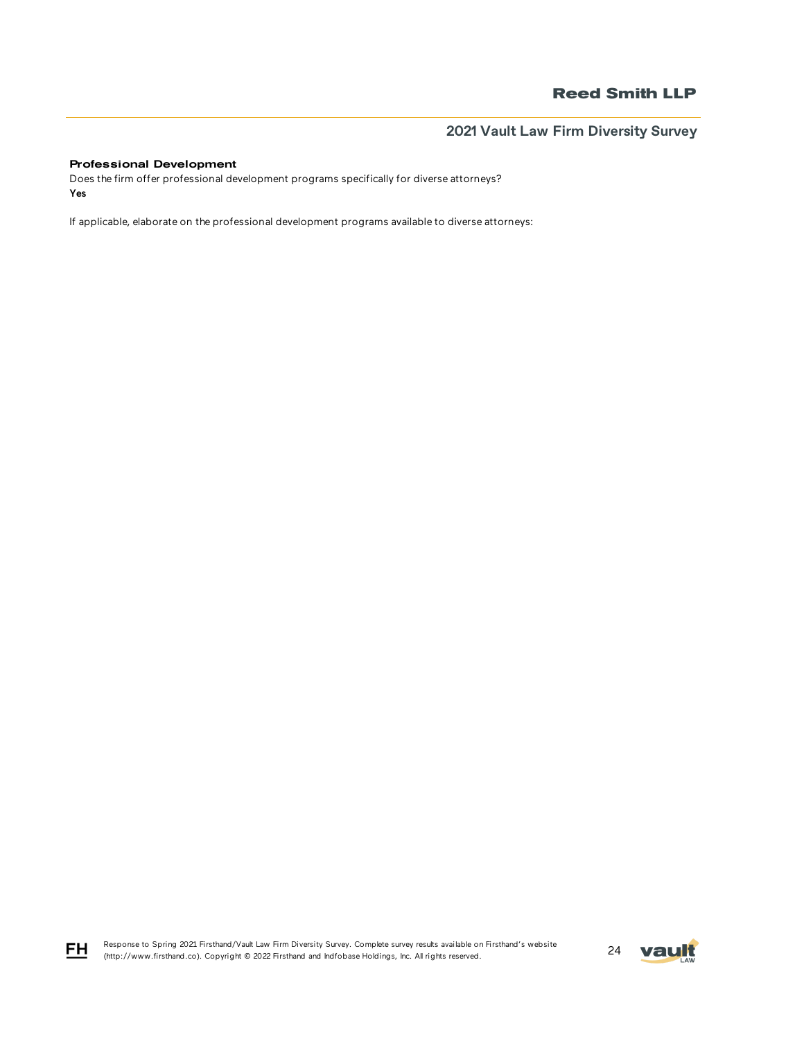## Professional Development

Does the firm offer professional development programs specifically for diverse attorneys? Yes

If applicable, elaborate on the professional development programs available to diverse attorneys:

Response to Spring 2021 Firsthand/Vault Law Firm Diversity Survey. Complete survey results available on Firsthand's website Response to Spring 2021 Firsthand/vault Law Firm Diversity Survey. Complete survey results available on Firsthand's website<br>(http://www.firsthand.co). Copyright © 2022 Firsthand and Indfobase Holdings, Inc. All rights rese



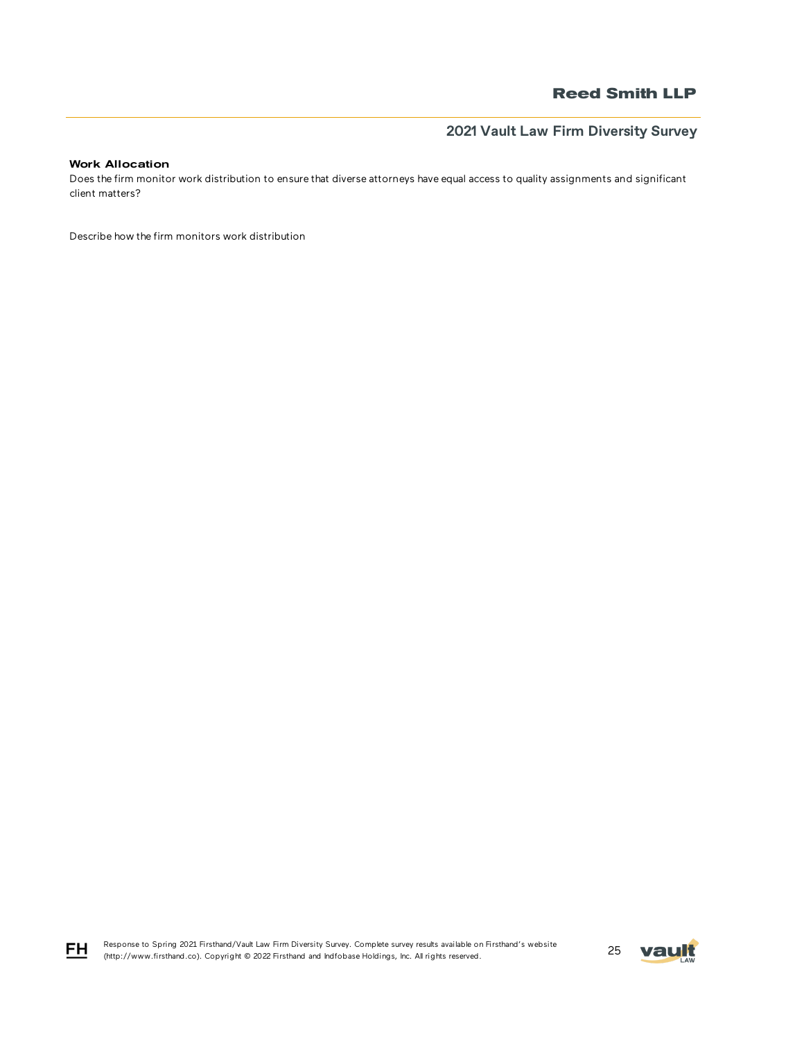# **2021 Vault Law Firm Diversity Survey**

### Work Allocation

Does the firm monitor work distribution to ensure that diverse attorneys have equal access to quality assignments and significant client matters?

Describe how the firm monitors work distribution

Response to Spring 2021 Firsthand/Vault Law Firm Diversity Survey. Complete survey results available on Firsthand's website Response to Spring 2021 Firstnand/vault Law Firm Diversity Survey. Complete survey results available on Firstnand's website<br>(http://www.firsthand.co). Copyright © 2022 Firsthand and Indfobase Holdings, Inc. All rights rese



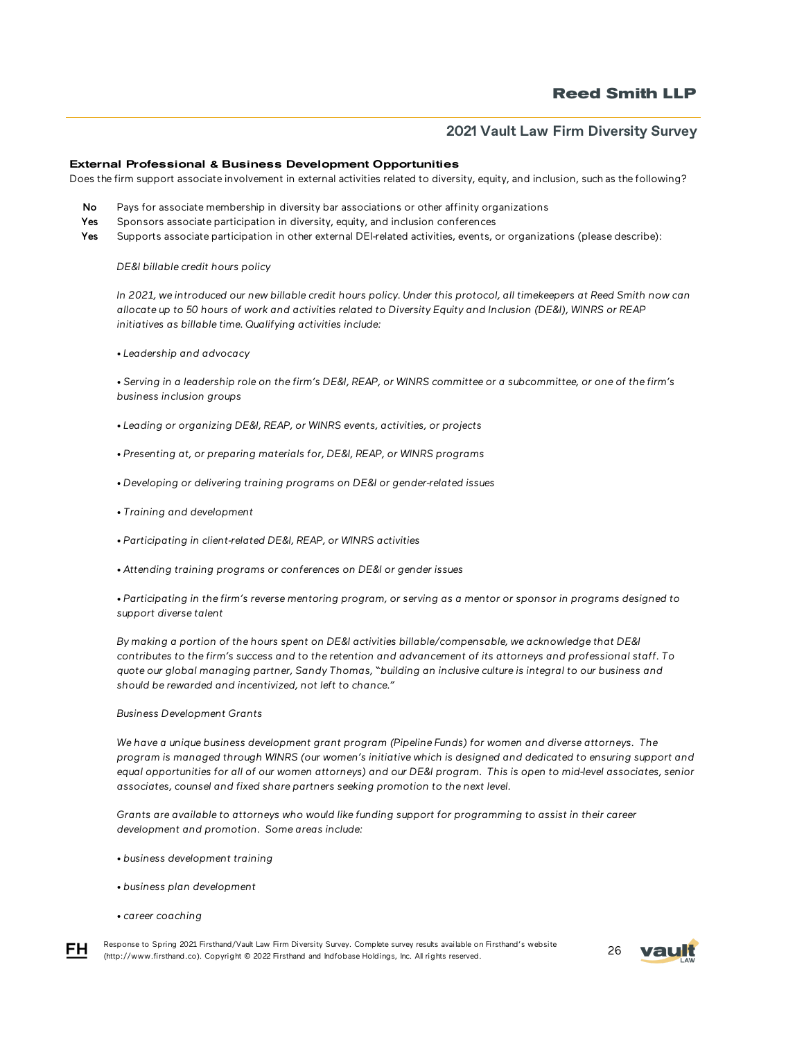#### External Professional & Business Development Opportunities

Does the firm support associate involvement in external activities related to diversity, equity, and inclusion, such as the following?

- No Pays for associate membership in diversity bar associations or other affinity organizations
- Yes Sponsors associate participation in diversity, equity, and inclusion conferences
- Yes Supports associate participation in other external DEI-related activities, events, or organizations (please describe):

#### *DE&I billable credit hours policy*

*In 2021, we introduced our new billable credit hours policy. Under this protocol, all timekeepers at Reed Smith now can allocate up to 50 hours of work and activities related to Diversity Equity and Inclusion (DE&I), WINRS or REAP initiatives as billable time. Qualifying activities include:*

*• Leadership and advocacy*

*• Serving in a leadership role on the firm's DE&I, REAP, or WINRS committee or a subcommittee, or one of the firm's business inclusion groups*

- *Leading or organizing DE&I, REAP, or WINRS events, activities, or projects*
- *Presenting at, or preparing materials for, DE&I, REAP, or WINRS programs*
- *Developing or delivering training programs on DE&I or gender-related issues*
- *Training and development*
- *Participating in client-related DE&I, REAP, or WINRS activities*
- *Attending training programs or conferences on DE&I or gender issues*

*• Participating in the firm's reverse mentoring program, or serving as a mentor or sponsor in programs designed to support diverse talent*

*By making a portion of the hours spent on DE&I activities billable/compensable, we acknowledge that DE&I contributes to the firm's success and to the retention and advancement of its attorneys and professional staff. To quote our global managing partner, Sandy Thomas, "building an inclusive culture is integral to our business and should be rewarded and incentivized, not left to chance."*

#### *Business Development Grants*

*We have a unique business development grant program (Pipeline Funds) for women and diverse attorneys. The program is managed through WINRS (our women's initiative which is designed and dedicated to ensuring support and equal opportunities for all of our women attorneys) and our DE&I program. This is open to mid-level associates, senior associates, counsel and fixed share partners seeking promotion to the next level.*

*Grants are available to attorneys who would like funding support for programming to assist in their career development and promotion. Some areas include:*

- *business development training*
- *business plan development*
- *career coaching*

Response to Spring 2021 Firsthand/Vault Law Firm Diversity Survey. Complete survey results available on Firsthand's website (http://www.firsthand.co). Copyright © 2022 Firsthand and Indfobase Holdings, Inc. All rights reserved. 26



FH.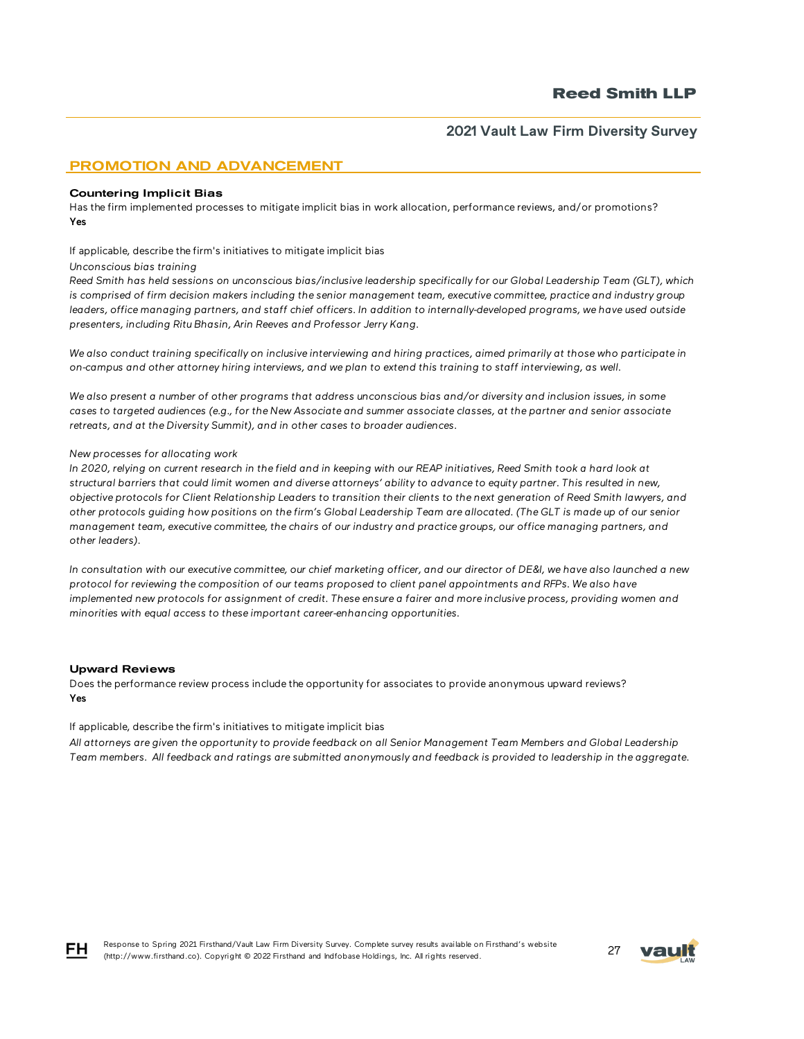## PROMOTION AND ADVANCEMENT

#### Countering Implicit Bias

Has the firm implemented processes to mitigate implicit bias in work allocation, performance reviews, and/or promotions? Yes

If applicable, describe the firm's initiatives to mitigate implicit bias

#### *Unconscious bias training*

*Reed Smith has held sessions on unconscious bias/inclusive leadership specifically for our Global Leadership Team (GLT), which*  is comprised of firm decision makers including the senior management team, executive committee, practice and industry group leaders, office managing partners, and staff chief officers. In addition to internally-developed programs, we have used outside *presenters, including Ritu Bhasin, Arin Reeves and Professor Jerry Kang.*

*We also conduct training specifically on inclusive interviewing and hiring practices, aimed primarily at those who participate in on-campus and other attorney hiring interviews, and we plan to extend this training to staff interviewing, as well.*

*We also present a number of other programs that address unconscious bias and/or diversity and inclusion issues, in some cases to targeted audiences (e.g., for the New Associate and summer associate classes, at the partner and senior associate retreats, and at the Diversity Summit), and in other cases to broader audiences.*

#### *New processes for allocating work*

In 2020, relying on current research in the field and in keeping with our REAP initiatives, Reed Smith took a hard look at *structural barriers that could limit women and diverse attorneys' ability to advance to equity partner. This resulted in new, objective protocols for Client Relationship Leaders to transition their clients to the next generation of Reed Smith lawyers, and other protocols guiding how positions on the firm's Global Leadership Team are allocated. (The GLT is made up of our senior management team, executive committee, the chairs of our industry and practice groups, our office managing partners, and other leaders).*

*In consultation with our executive committee, our chief marketing officer, and our director of DE&I, we have also launched a new protocol for reviewing the composition of our teams proposed to client panel appointments and RFPs. We also have implemented new protocols for assignment of credit. These ensure a fairer and more inclusive process, providing women and minorities with equal access to these important career-enhancing opportunities.*

#### Upward Reviews

Does the performance review process include the opportunity for associates to provide anonymous upward reviews? Yes

#### If applicable, describe the firm's initiatives to mitigate implicit bias

*All attorneys are given the opportunity to provide feedback on all Senior Management Team Members and Global Leadership Team members. All feedback and ratings are submitted anonymously and feedback is provided to leadership in the aggregate.*



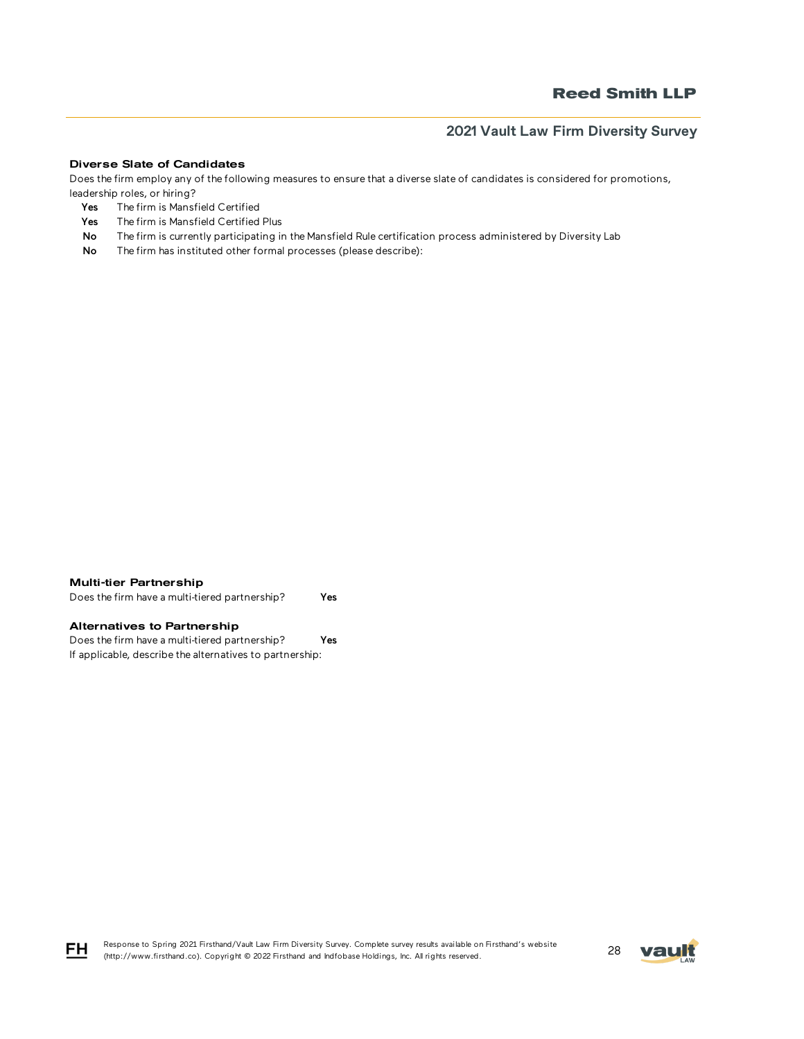#### Diverse Slate of Candidates

Does the firm employ any of the following measures to ensure that a diverse slate of candidates is considered for promotions, leadership roles, or hiring?

- Yes The firm is Mansfield Certified
- Yes The firm is Mansfield Certified Plus
- No The firm is currently participating in the Mansfield Rule certification process administered by Diversity Lab
- No The firm has instituted other formal processes (please describe):

#### Multi-tier Partnership

Does the firm have a multi-tiered partnership? Yes

### Alternatives to Partnership

Does the firm have a multi-tiered partnership? Yes If applicable, describe the alternatives to partnership:





FH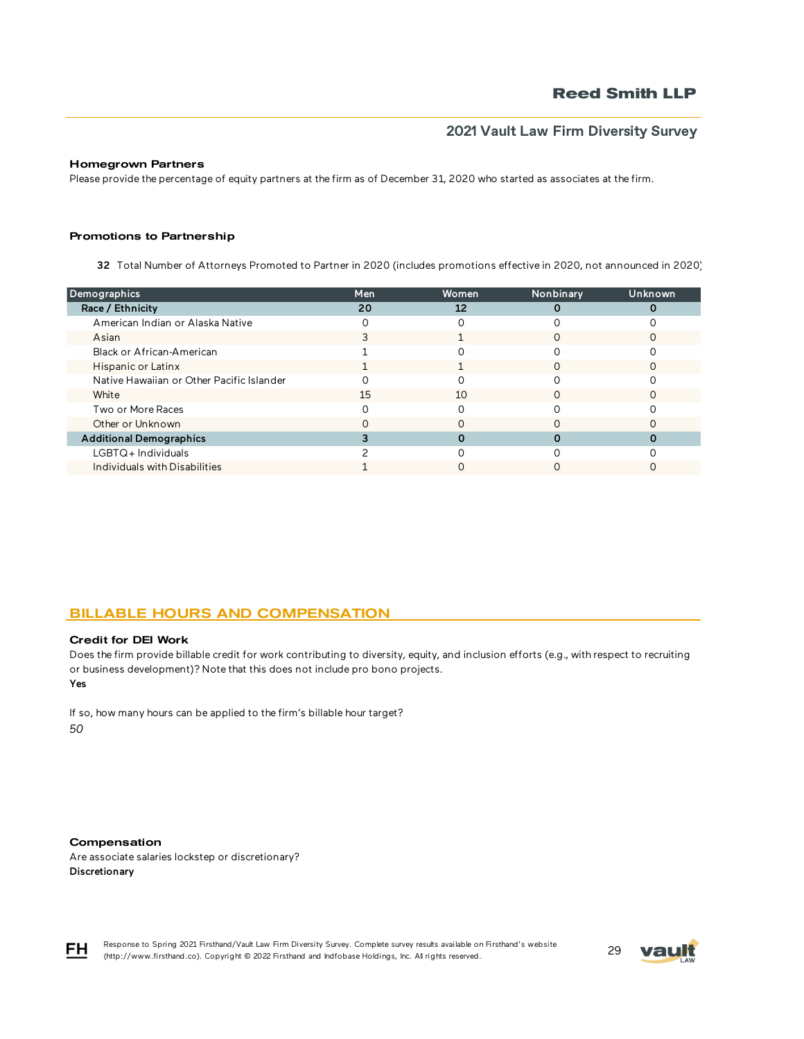### Homegrown Partners

Please provide the percentage of equity partners at the firm as of December 31, 2020 who started as associates at the firm.

#### Promotions to Partnership

32 Total Number of Attorneys Promoted to Partner in 2020 (includes promotions effective in 2020, not announced in 2020)

| Demographics                              | Men | Women | Nonbinary | Unknown |
|-------------------------------------------|-----|-------|-----------|---------|
| Race / Ethnicity                          | 20  | 12    |           |         |
| American Indian or Alaska Native          |     |       |           |         |
| Asian                                     |     |       |           |         |
| Black or African-American                 |     |       |           |         |
| Hispanic or Latinx                        |     |       |           |         |
| Native Hawaiian or Other Pacific Islander |     |       |           |         |
| White                                     | 15  | 10    |           |         |
| Two or More Races                         |     |       |           |         |
| Other or Unknown                          |     |       |           |         |
| <b>Additional Demographics</b>            |     |       |           |         |
| $LGBTQ+$ Individuals                      |     |       |           |         |
| Individuals with Disabilities             |     |       |           |         |

# BILLABLE HOURS AND COMPENSATION

#### Credit for DEI Work

Yes Does the firm provide billable credit for work contributing to diversity, equity, and inclusion efforts (e.g., with respect to recruiting or business development)? Note that this does not include pro bono projects.

If so, how many hours can be applied to the firm's billable hour target? *50*

#### Compensation

Are associate salaries lockstep or discretionary? Discretionary



Response to Spring 2021 Firsthand/Vault Law Firm Diversity Survey. Complete survey results available on Firsthand's website Response to Spring 2021 Firsthand/vault Law Firm Diversity Survey. Complete survey results available on Firsthand's website<br>(http://www.firsthand.co). Copyright © 2022 Firsthand and Indfobase Holdings, Inc. All rights rese

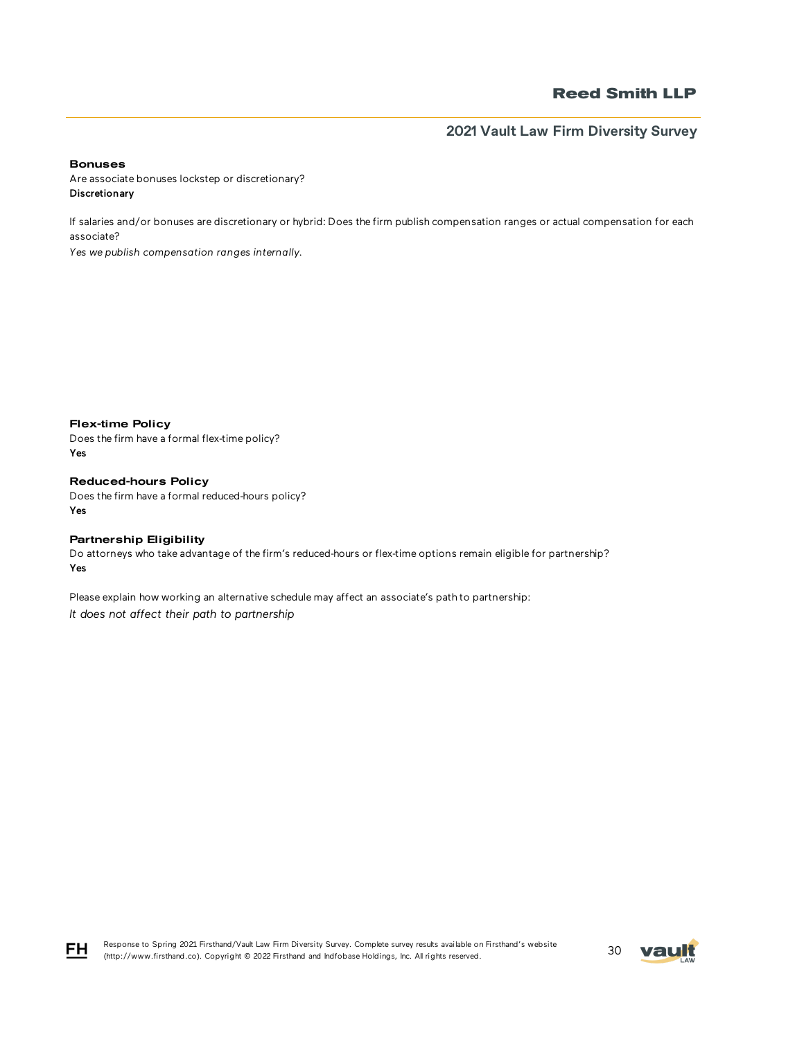# **2021 Vault Law Firm Diversity Survey**

#### Bonuses

Are associate bonuses lockstep or discretionary? Discretionary

If salaries and/or bonuses are discretionary or hybrid: Does the firm publish compensation ranges or actual compensation for each associate?

*Yes we publish compensation ranges internally.*

Flex-time Policy Does the firm have a formal flex-time policy? Yes

Reduced-hours Policy Does the firm have a formal reduced-hours policy? Yes

### Partnership Eligibility

Do attorneys who take advantage of the firm's reduced-hours or flex-time options remain eligible for partnership? Yes

Please explain how working an alternative schedule may affect an associate's path to partnership: *It does not affect their path to partnership*



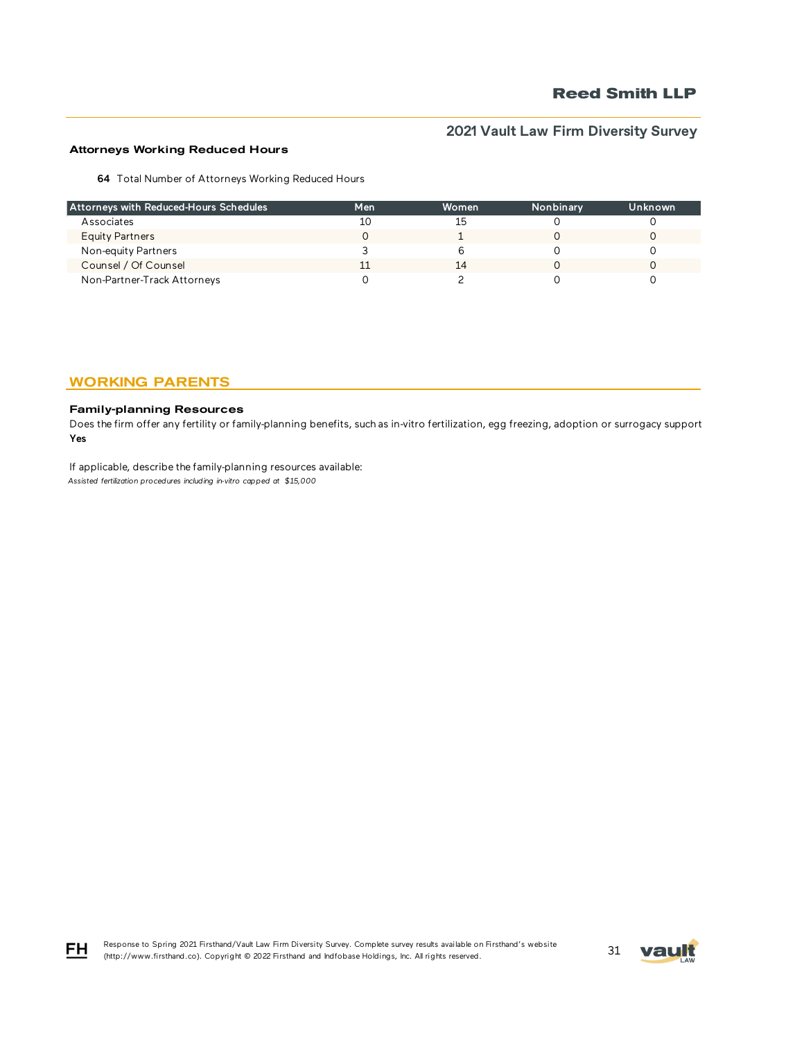### Attorneys Working Reduced Hours

64 Total Number of Attorneys Working Reduced Hours

| Attorneys with Reduced-Hours Schedules | Men | Women | Nonbinary | Unknown |
|----------------------------------------|-----|-------|-----------|---------|
| Associates                             | 10  | 15    |           |         |
| <b>Equity Partners</b>                 |     |       |           |         |
| Non-equity Partners                    |     |       |           |         |
| Counsel / Of Counsel                   |     | 14    |           |         |
| Non-Partner-Track Attorneys            |     |       |           |         |

# WORKING PARENTS

## Family-planning Resources

Does the firm offer any fertility or family-planning benefits, such as in-vitro fertilization, egg freezing, adoption or surrogacy support? Yes

If applicable, describe the family-planning resources available: *Assisted fertilization procedures including in-vitro capped at \$15,000*





FH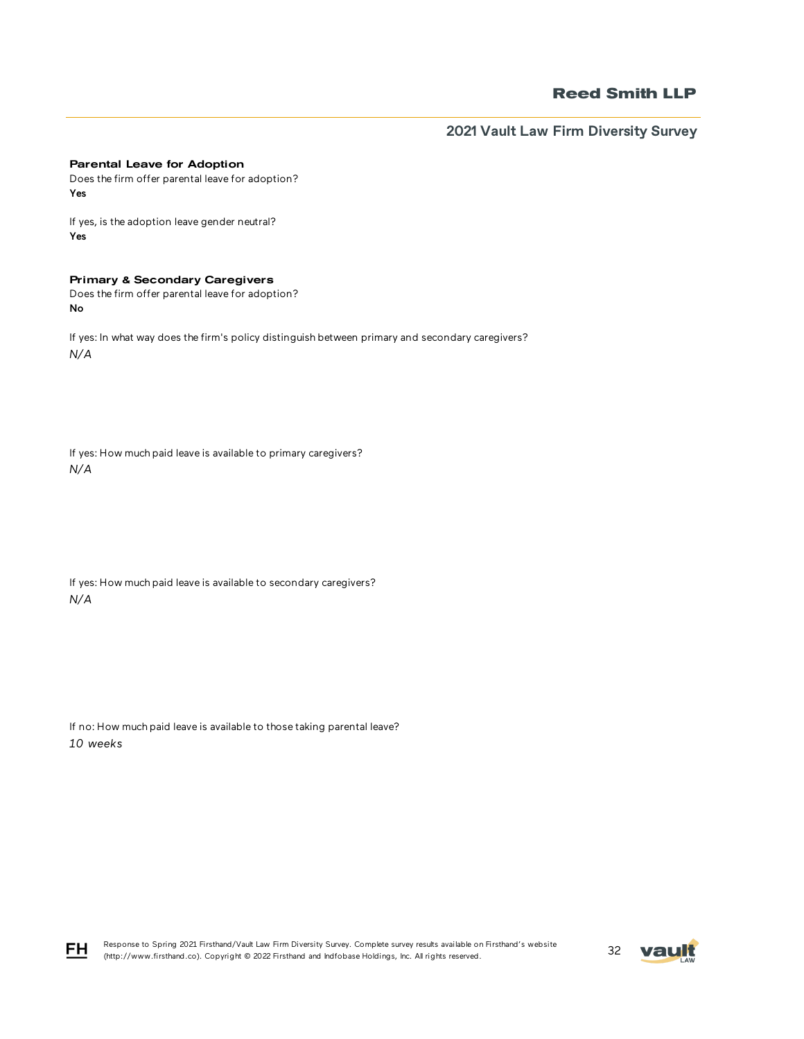**2021 Vault Law Firm Diversity Survey**

#### Parental Leave for Adoption

Does the firm offer parental leave for adoption? Yes

If yes, is the adoption leave gender neutral? Yes

### Primary & Secondary Caregivers

Does the firm offer parental leave for adoption? No

If yes: In what way does the firm's policy distinguish between primary and secondary caregivers? *N/A*

If yes: How much paid leave is available to primary caregivers? *N/A*

If yes: How much paid leave is available to secondary caregivers? *N/A*

If no: How much paid leave is available to those taking parental leave? *10 weeks*



FH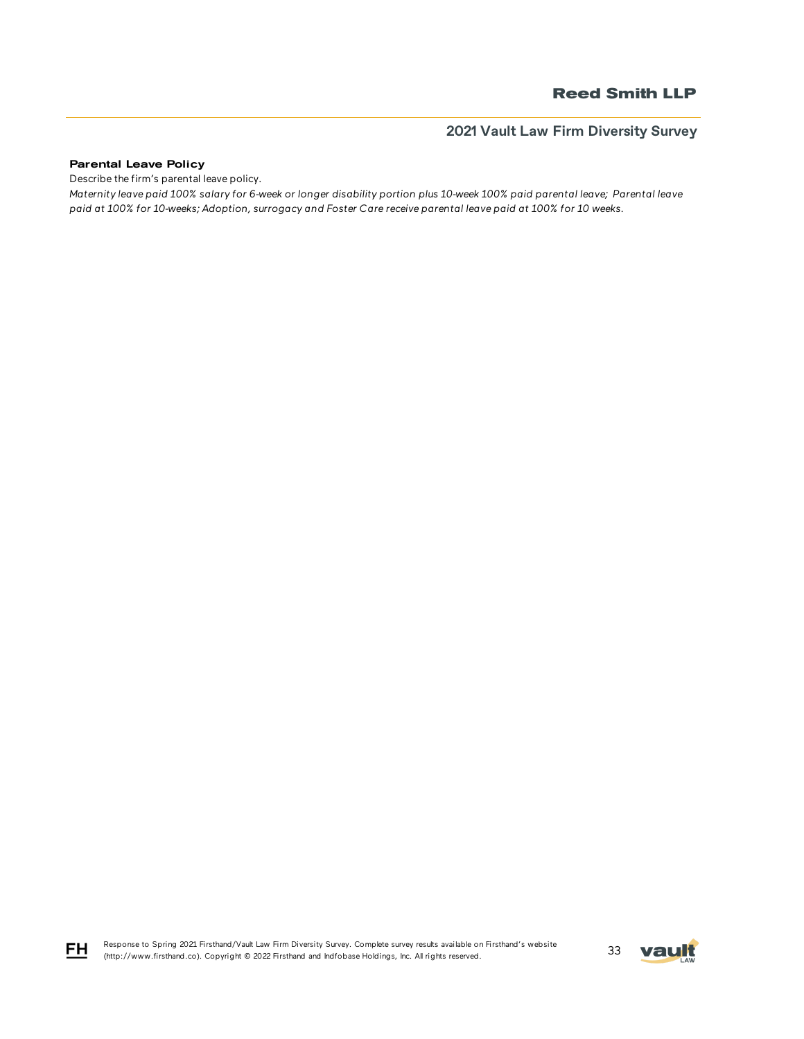### Parental Leave Policy

FH

Describe the firm's parental leave policy.

*Maternity leave paid 100% salary for 6-week or longer disability portion plus 10-week 100% paid parental leave; Parental leave paid at 100% for 10-weeks; Adoption, surrogacy and Foster Care receive parental leave paid at 100% for 10 weeks.*

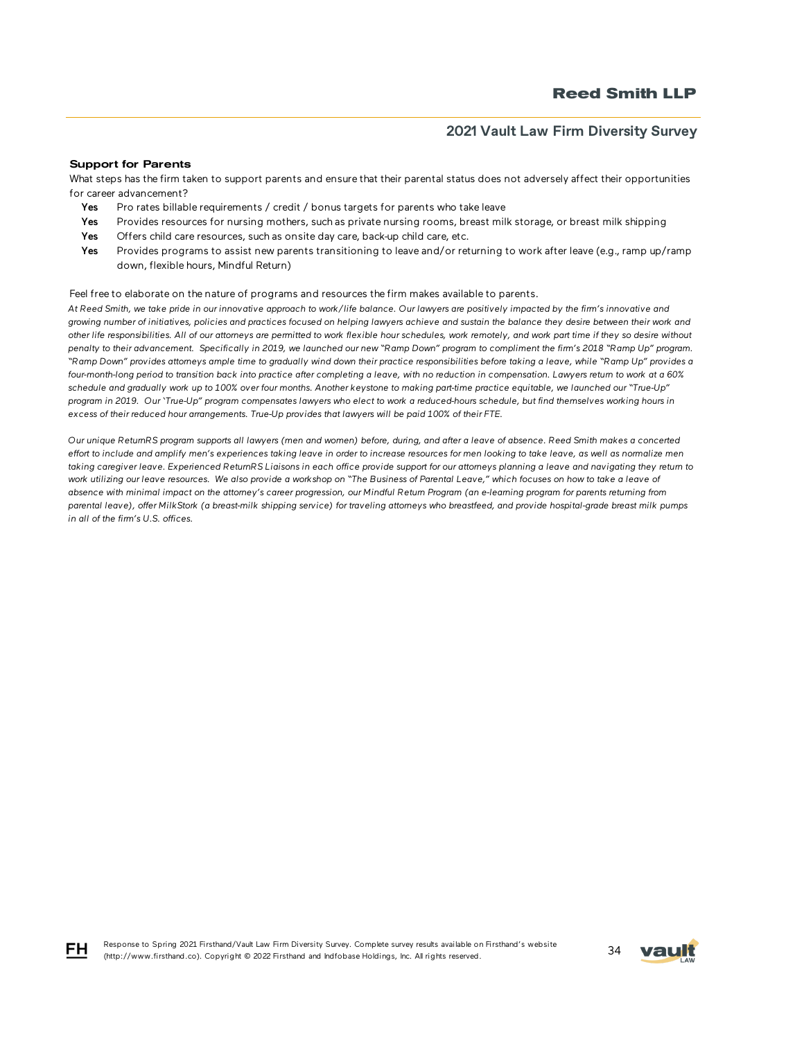#### Support for Parents

What steps has the firm taken to support parents and ensure that their parental status does not adversely affect their opportunities for career advancement?

- Yes Pro rates billable requirements / credit / bonus targets for parents who take leave
- Yes Provides resources for nursing mothers, such as private nursing rooms, breast milk storage, or breast milk shipping
- Yes Offers child care resources, such as onsite day care, back-up child care, etc.
- Yes Provides programs to assist new parents transitioning to leave and/or returning to work after leave (e.g., ramp up/ramp down, flexible hours, Mindful Return)

Feel free to elaborate on the nature of programs and resources the firm makes available to parents.

*At Reed Smith, we take pride in our innovative approach to work/life balance. Our lawyers are positively impacted by the firm's innovative and growing number of initiatives, policies and practices focused on helping lawyers achieve and sustain the balance they desire between their work and other life responsibilities. All of our attorneys are permitted to work flexible hour schedules, work remotely, and work part time if they so desire without penalty to their advancement. Specifically in 2019, we launched our new "Ramp Down" program to compliment the firm's 2018 "Ramp Up" program. "Ramp Down" provides attorneys ample time to gradually wind down their practice responsibilities before taking a leave, while "Ramp Up" provides a four-month-long period to transition back into practice after completing a leave, with no reduction in compensation. Lawyers return to work at a 60% schedule and gradually work up to 100% over four months. Another keystone to making part-time practice equitable, we launched our "True-Up" program in 2019. Our 'True-Up" program compensates lawyers who elect to work a reduced-hours schedule, but find themselves working hours in excess of their reduced hour arrangements. True-Up provides that lawyers will be paid 100% of their FTE.*

*Our unique ReturnRS program supports all lawyers (men and women) before, during, and after a leave of absence. Reed Smith makes a concerted*  effort to include and amplify men's experiences taking leave in order to increase resources for men looking to take leave, as well as normalize men *taking caregiver leave. Experienced ReturnRS Liaisons in each office provide support for our attorneys planning a leave and navigating they return to work utilizing our leave resources. We also provide a workshop on "The Business of Parental Leave," which focuses on how to take a leave of absence with minimal impact on the attorney's career progression, our Mindful Return Program (an e-learning program for parents returning from parental leave), offer MilkStork (a breast-milk shipping service) for traveling attorneys who breastfeed, and provide hospital-grade breast milk pumps in all of the firm's U.S. offices.*



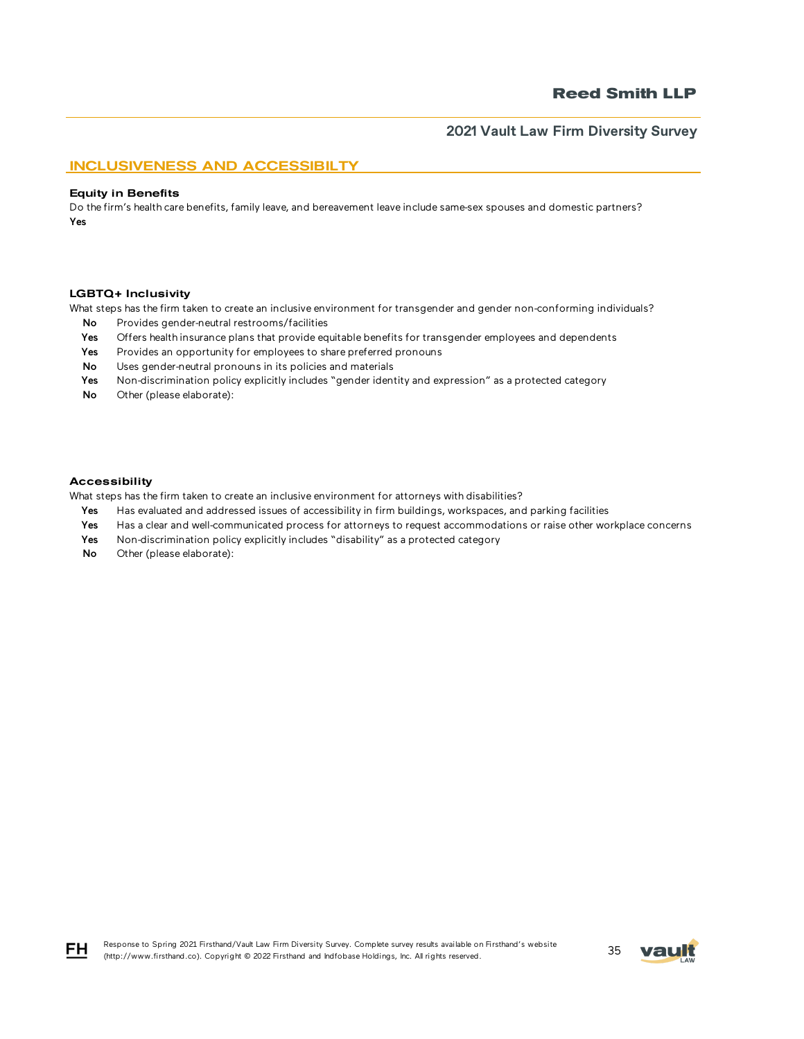## INCLUSIVENESS AND ACCESSIBILTY

#### Equity in Benefits

Do the firm's health care benefits, family leave, and bereavement leave include same-sex spouses and domestic partners? Yes

#### LGBTQ+ Inclusivity

What steps has the firm taken to create an inclusive environment for transgender and gender non-conforming individuals?

- No Provides gender-neutral restrooms/facilities
- Yes Offers health insurance plans that provide equitable benefits for transgender employees and dependents
- Yes Provides an opportunity for employees to share preferred pronouns
- No Uses gender-neutral pronouns in its policies and materials
- Yes Non-discrimination policy explicitly includes "gender identity and expression" as a protected category
- No Other (please elaborate):

#### Accessibility

What steps has the firm taken to create an inclusive environment for attorneys with disabilities?

- Yes Has evaluated and addressed issues of accessibility in firm buildings, workspaces, and parking facilities
- Yes Has a clear and well-communicated process for attorneys to request accommodations or raise other workplace concerns
- Yes Non-discrimination policy explicitly includes "disability" as a protected category
- No Other (please elaborate):



FH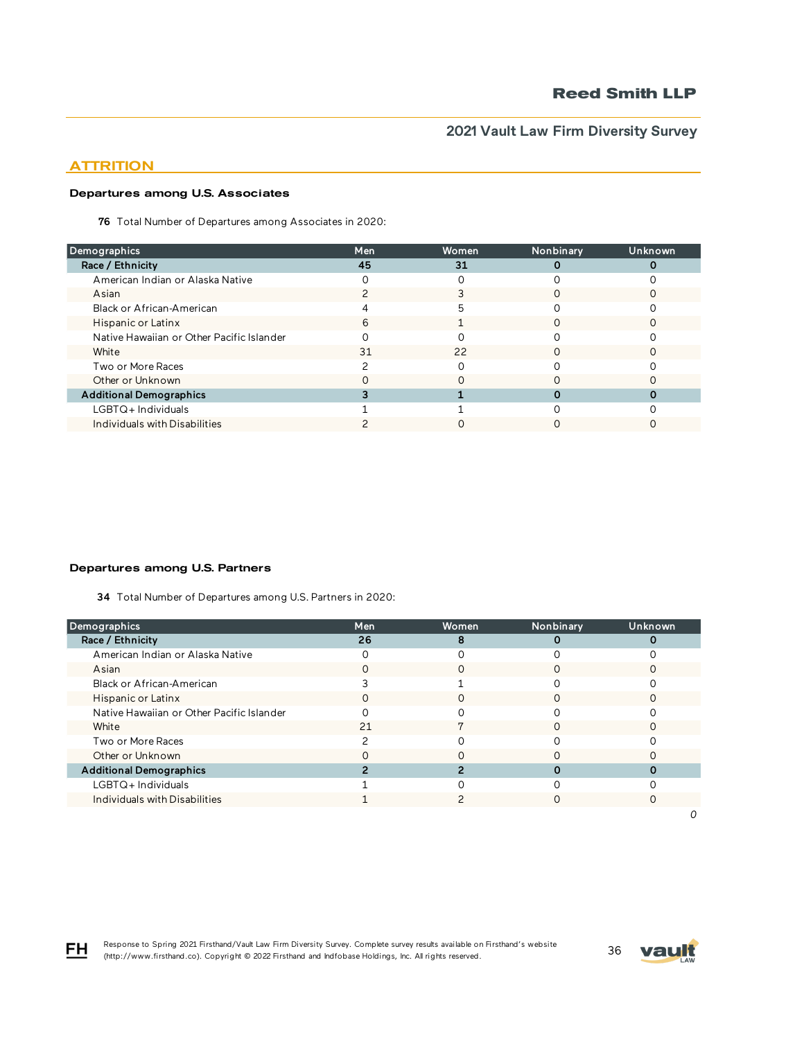# **ATTRITION**

### Departures among U.S. Associates

76 Total Number of Departures among Associates in 2020:

| Demographics                              | Men | Women | Nonbinary | Unknown |
|-------------------------------------------|-----|-------|-----------|---------|
| Race / Ethnicity                          | 45  | 31    |           |         |
| American Indian or Alaska Native          |     |       |           |         |
| Asian                                     |     |       |           |         |
| Black or African-American                 |     | 5     |           |         |
| Hispanic or Latinx                        | 6   |       | Ω         |         |
| Native Hawaiian or Other Pacific Islander |     |       |           |         |
| White                                     | 31  | 22    |           |         |
| Two or More Races                         |     |       |           |         |
| Other or Unknown                          |     |       |           |         |
| <b>Additional Demographics</b>            |     |       |           |         |
| $LGBTQ+$ Individuals                      |     |       |           |         |
| Individuals with Disabilities             |     |       |           |         |
|                                           |     |       |           |         |

### Departures among U.S. Partners

34 Total Number of Departures among U.S. Partners in 2020:

| Demographics                              | Men | <b>Women</b> | Nonbinary | Unknown |
|-------------------------------------------|-----|--------------|-----------|---------|
| Race / Ethnicity                          | 26  |              |           |         |
| American Indian or Alaska Native          |     |              |           |         |
| Asian                                     |     |              |           |         |
| Black or African-American                 |     |              |           |         |
| Hispanic or Latinx                        |     |              |           |         |
| Native Hawaiian or Other Pacific Islander |     |              |           |         |
| White                                     | 21  |              |           |         |
| Two or More Races                         |     |              |           |         |
| Other or Unknown                          |     |              |           |         |
| <b>Additional Demographics</b>            |     |              |           |         |
| $LGBTQ+$ Individuals                      |     |              |           |         |
| Individuals with Disabilities             |     |              |           |         |
|                                           |     |              |           |         |

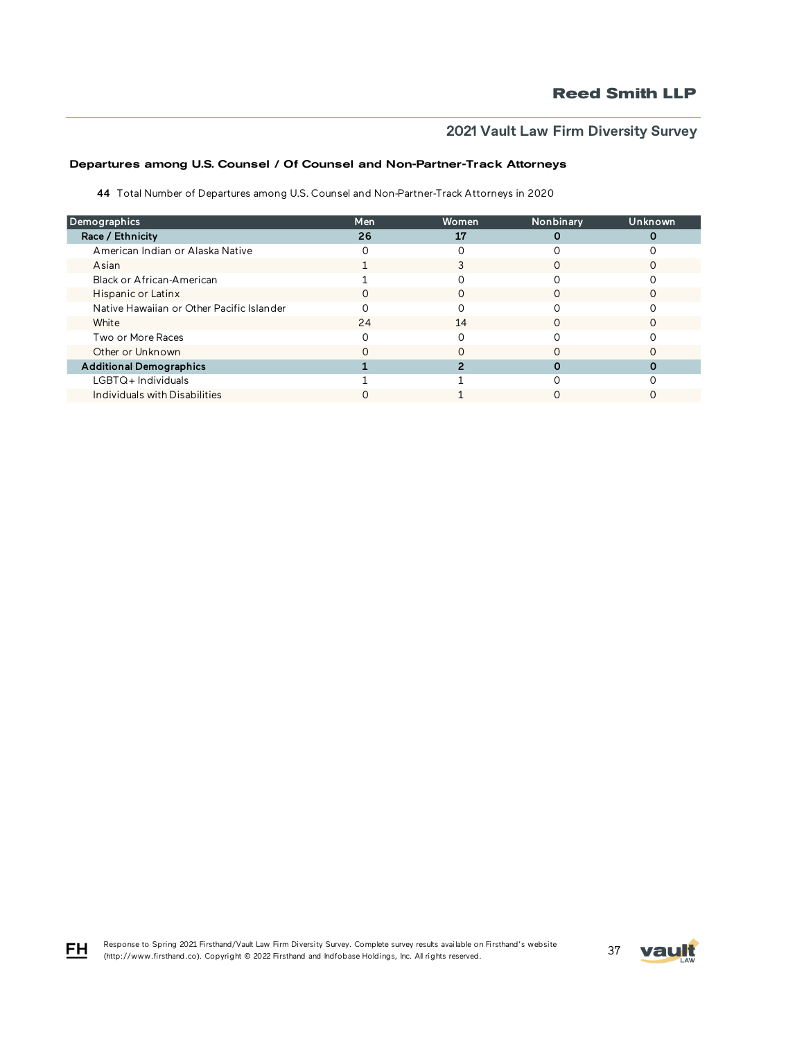# Departures among U.S. Counsel / Of Counsel and Non-Partner-Track Attorneys

44 Total Number of Departures among U.S. Counsel and Non-Partner-Track Attorneys in 2020

| Demographics                              | Men | Women | Nonbinary | Unknown |
|-------------------------------------------|-----|-------|-----------|---------|
| Race / Ethnicity                          | 26  | 17    |           |         |
| American Indian or Alaska Native          |     |       |           |         |
| Asian                                     |     |       |           |         |
| Black or African-American                 |     |       |           |         |
| Hispanic or Latinx                        | O   | O     | ∩         |         |
| Native Hawaiian or Other Pacific Islander |     |       |           |         |
| White                                     | 24  | 14    |           |         |
| Two or More Races                         |     |       |           |         |
| Other or Unknown                          |     |       |           |         |
| <b>Additional Demographics</b>            |     |       |           |         |
| LGBTQ+Individuals                         |     |       |           |         |
| Individuals with Disabilities             |     |       |           |         |

FH

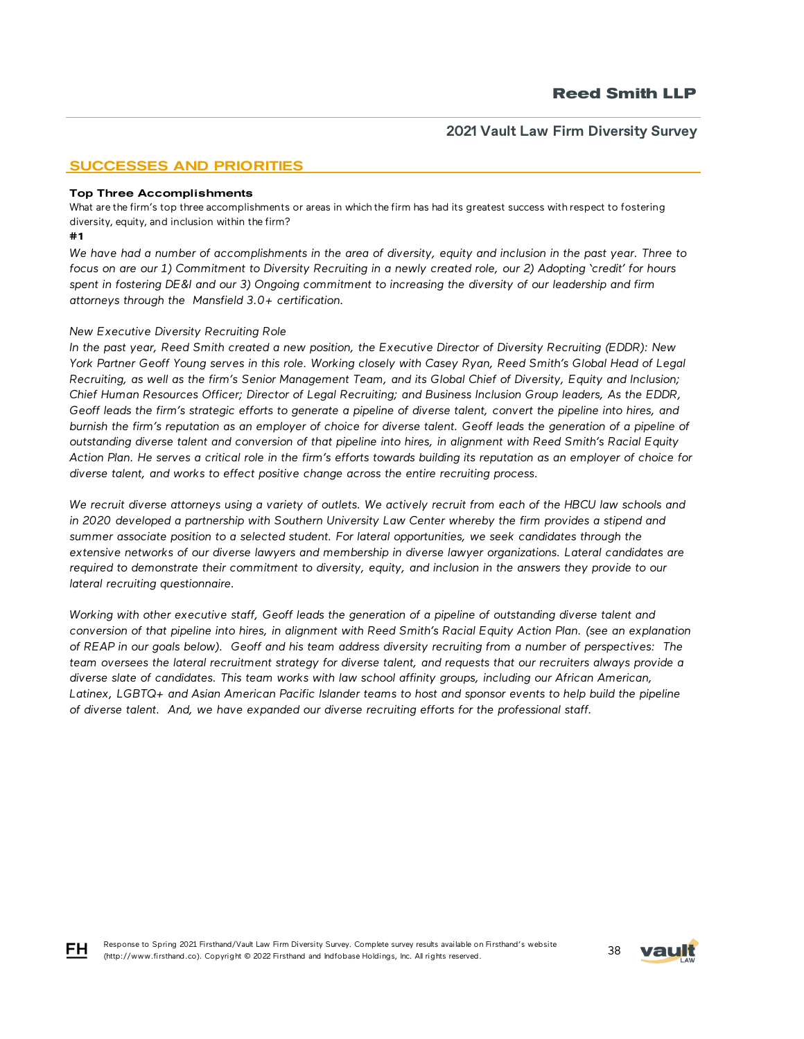# SUCCESSES AND PRIORITIES

#### Top Three Accomplishments

What are the firm's top three accomplishments or areas in which the firm has had its greatest success with respect to fostering diversity, equity, and inclusion within the firm?

#### #1

FH

*We have had a number of accomplishments in the area of diversity, equity and inclusion in the past year. Three to focus on are our 1) Commitment to Diversity Recruiting in a newly created role, our 2) Adopting 'credit' for hours spent in fostering DE&I and our 3) Ongoing commitment to increasing the diversity of our leadership and firm attorneys through the Mansfield 3.0+ certification.* 

### *New Executive Diversity Recruiting Role*

*In the past year, Reed Smith created a new position, the Executive Director of Diversity Recruiting (EDDR): New York Partner Geoff Young serves in this role. Working closely with Casey Ryan, Reed Smith's Global Head of Legal Recruiting, as well as the firm's Senior Management Team, and its Global Chief of Diversity, Equity and Inclusion; Chief Human Resources Officer; Director of Legal Recruiting; and Business Inclusion Group leaders, As the EDDR, Geoff leads the firm's strategic efforts to generate a pipeline of diverse talent, convert the pipeline into hires, and*  burnish the firm's reputation as an employer of choice for diverse talent. Geoff leads the generation of a pipeline of *outstanding diverse talent and conversion of that pipeline into hires, in alignment with Reed Smith's Racial Equity Action Plan. He serves a critical role in the firm's efforts towards building its reputation as an employer of choice for diverse talent, and works to effect positive change across the entire recruiting process.*

We recruit diverse attorneys using a variety of outlets. We actively recruit from each of the HBCU law schools and *in 2020 developed a partnership with Southern University Law Center whereby the firm provides a stipend and summer associate position to a selected student. For lateral opportunities, we seek candidates through the*  extensive networks of our diverse lawyers and membership in diverse lawyer organizations. Lateral candidates are required to demonstrate their commitment to diversity, equity, and inclusion in the answers they provide to our *lateral recruiting questionnaire.*

*Working with other executive staff, Geoff leads the generation of a pipeline of outstanding diverse talent and conversion of that pipeline into hires, in alignment with Reed Smith's Racial Equity Action Plan. (see an explanation of REAP in our goals below). Geoff and his team address diversity recruiting from a number of perspectives: The team oversees the lateral recruitment strategy for diverse talent, and requests that our recruiters always provide a diverse slate of candidates. This team works with law school affinity groups, including our African American, Latinex, LGBTQ+ and Asian American Pacific Islander teams to host and sponsor events to help build the pipeline of diverse talent. And, we have expanded our diverse recruiting efforts for the professional staff.*

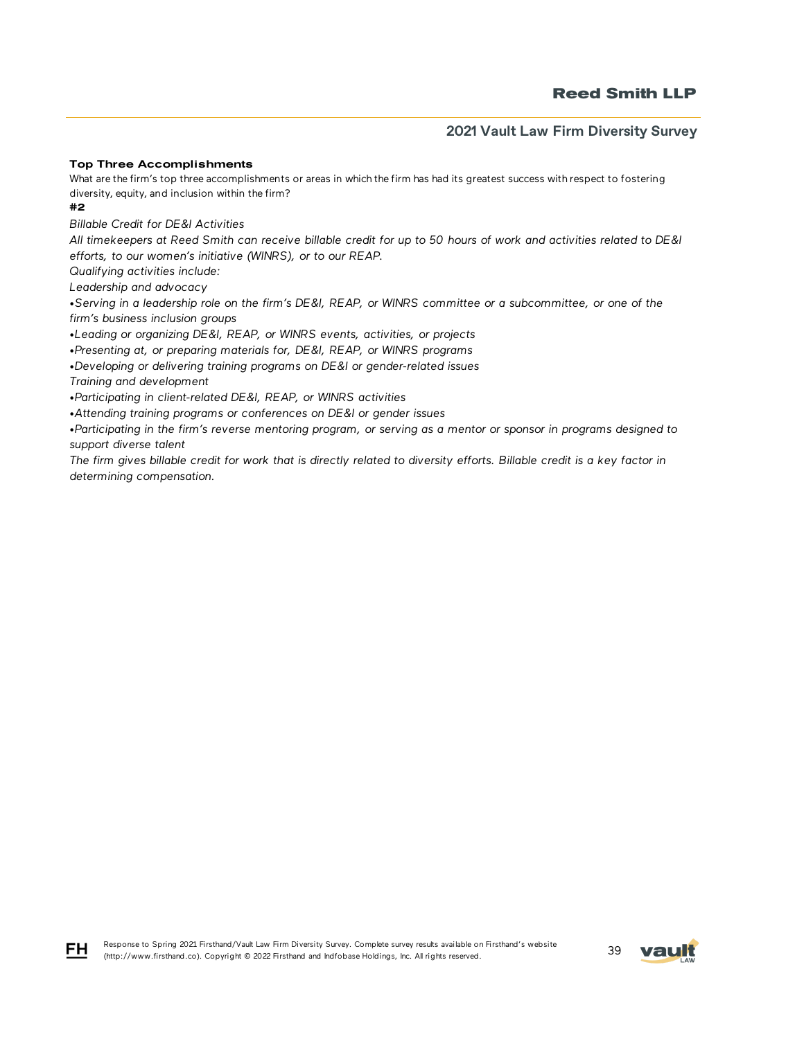### Top Three Accomplishments

What are the firm's top three accomplishments or areas in which the firm has had its greatest success with respect to fostering diversity, equity, and inclusion within the firm?

#2

FH.

*Billable Credit for DE&I Activities*

*All timekeepers at Reed Smith can receive billable credit for up to 50 hours of work and activities related to DE&I efforts, to our women's initiative (WINRS), or to our REAP.*

*Qualifying activities include:*

*Leadership and advocacy*

*•Serving in a leadership role on the firm's DE&I, REAP, or WINRS committee or a subcommittee, or one of the firm's business inclusion groups*

*•Leading or organizing DE&I, REAP, or WINRS events, activities, or projects*

*•Presenting at, or preparing materials for, DE&I, REAP, or WINRS programs*

*•Developing or delivering training programs on DE&I or gender-related issues*

*Training and development*

*•Participating in client-related DE&I, REAP, or WINRS activities*

*•Attending training programs or conferences on DE&I or gender issues*

*•Participating in the firm's reverse mentoring program, or serving as a mentor or sponsor in programs designed to support diverse talent*

*The firm gives billable credit for work that is directly related to diversity efforts. Billable credit is a key factor in determining compensation.*

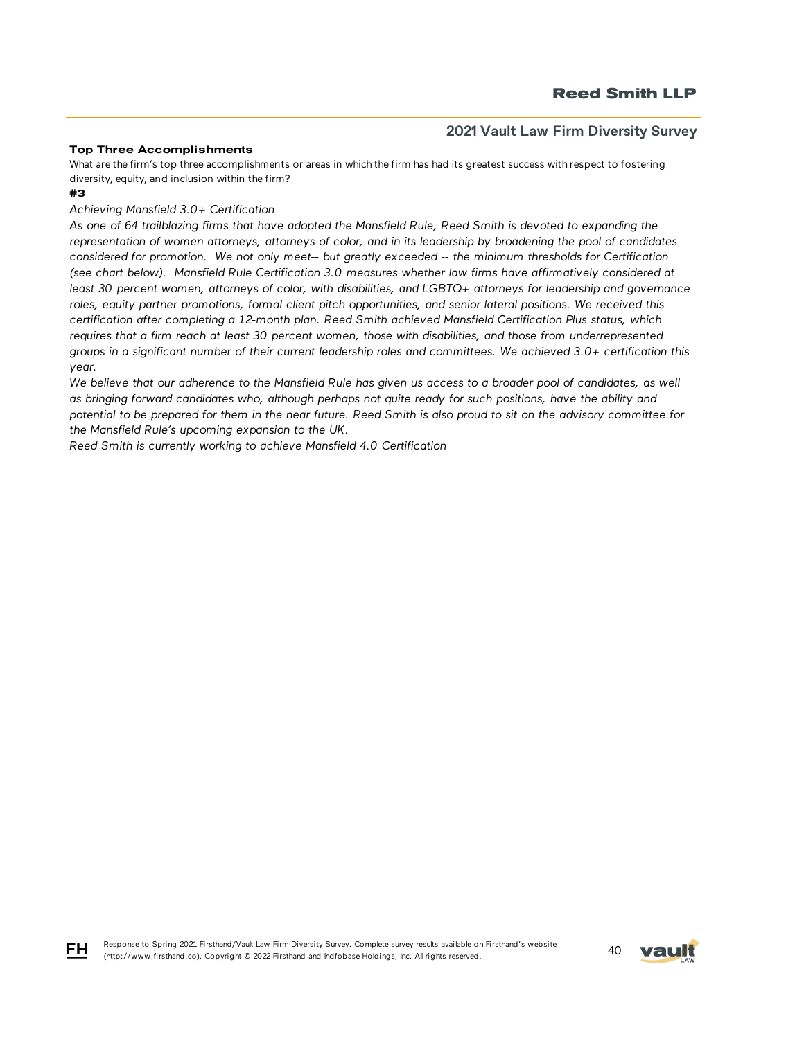## Top Three Accomplishments

What are the firm's top three accomplishments or areas in which the firm has had its greatest success with respect to fostering diversity, equity, and inclusion within the firm?

## #3

FH.

## *Achieving Mansfield 3.0+ Certification*

*As one of 64 trailblazing firms that have adopted the Mansfield Rule, Reed Smith is devoted to expanding the representation of women attorneys, attorneys of color, and in its leadership by broadening the pool of candidates considered for promotion. We not only meet-- but greatly exceeded -- the minimum thresholds for Certification (see chart below). Mansfield Rule Certification 3.0 measures whether law firms have affirmatively considered at least 30 percent women, attorneys of color, with disabilities, and LGBTQ+ attorneys for leadership and governance roles, equity partner promotions, formal client pitch opportunities, and senior lateral positions. We received this certification after completing a 12-month plan. Reed Smith achieved Mansfield Certification Plus status, which requires that a firm reach at least 30 percent women, those with disabilities, and those from underrepresented groups in a significant number of their current leadership roles and committees. We achieved 3.0+ certification this year.* 

We believe that our adherence to the Mansfield Rule has given us access to a broader pool of candidates, as well *as bringing forward candidates who, although perhaps not quite ready for such positions, have the ability and potential to be prepared for them in the near future. Reed Smith is also proud to sit on the advisory committee for the Mansfield Rule's upcoming expansion to the UK.*

*Reed Smith is currently working to achieve Mansfield 4.0 Certification*

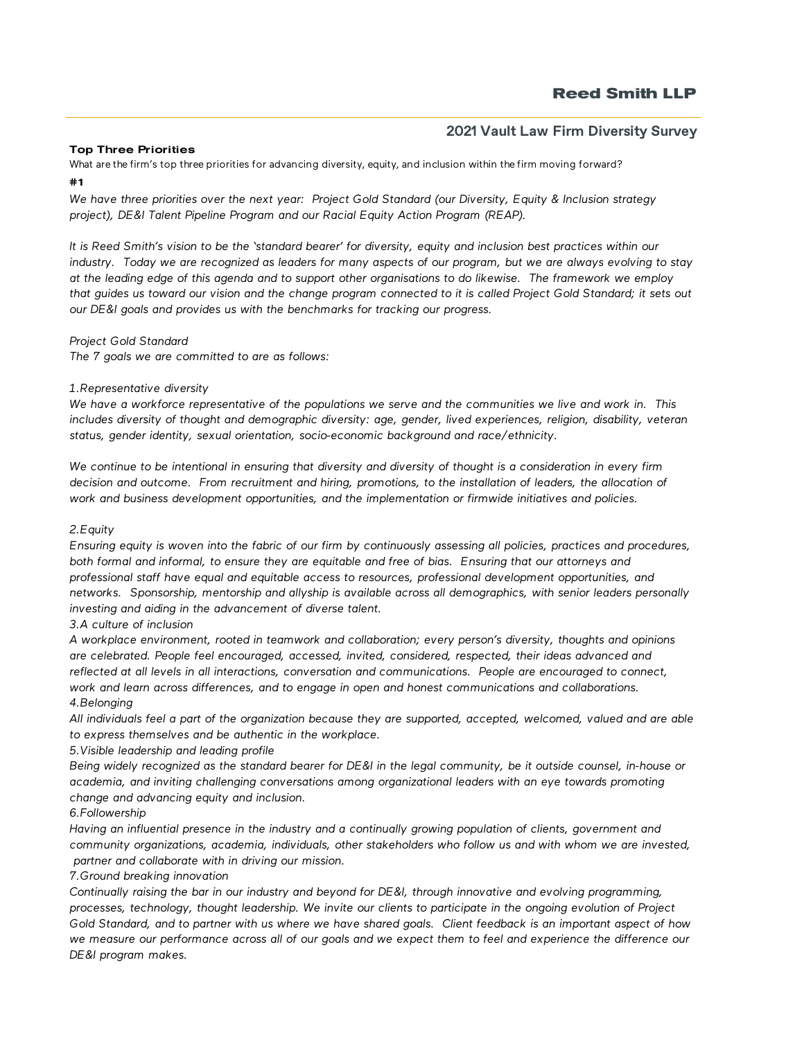### Top Three Priorities

What are the firm's top three priorities for advancing diversity, equity, and inclusion within the firm moving forward? #1

*We have three priorities over the next year: Project Gold Standard (our Diversity, Equity & Inclusion strategy project), DE&I Talent Pipeline Program and our Racial Equity Action Program (REAP).*

It is Reed Smith's vision to be the 'standard bearer' for diversity, equity and inclusion best practices within our *industry. Today we are recognized as leaders for many aspects of our program, but we are always evolving to stay at the leading edge of this agenda and to support other organisations to do likewise. The framework we employ*  that guides us toward our vision and the change program connected to it is called Project Gold Standard; it sets out *our DE&I goals and provides us with the benchmarks for tracking our progress.* 

### *Project Gold Standard*

*The 7 goals we are committed to are as follows:*

### *1.Representative diversity*

*We have a workforce representative of the populations we serve and the communities we live and work in. This includes diversity of thought and demographic diversity: age, gender, lived experiences, religion, disability, veteran status, gender identity, sexual orientation, socio-economic background and race/ethnicity.* 

*We continue to be intentional in ensuring that diversity and diversity of thought is a consideration in every firm*  decision and outcome. From recruitment and hiring, promotions, to the installation of leaders, the allocation of *work and business development opportunities, and the implementation or firmwide initiatives and policies.*

#### *2.Equity*

*Ensuring equity is woven into the fabric of our firm by continuously assessing all policies, practices and procedures, both formal and informal, to ensure they are equitable and free of bias. Ensuring that our attorneys and professional staff have equal and equitable access to resources, professional development opportunities, and networks. Sponsorship, mentorship and allyship is available across all demographics, with senior leaders personally investing and aiding in the advancement of diverse talent.*

## *3.A culture of inclusion*

*A workplace environment, rooted in teamwork and collaboration; every person's diversity, thoughts and opinions are celebrated. People feel encouraged, accessed, invited, considered, respected, their ideas advanced and reflected at all levels in all interactions, conversation and communications. People are encouraged to connect, work and learn across differences, and to engage in open and honest communications and collaborations. 4.Belonging*

*All individuals feel a part of the organization because they are supported, accepted, welcomed, valued and are able to express themselves and be authentic in the workplace.*

*5.Visible leadership and leading profile*

*Being widely recognized as the standard bearer for DE&I in the legal community, be it outside counsel, in-house or academia, and inviting challenging conversations among organizational leaders with an eye towards promoting change and advancing equity and inclusion.*

### *6.Followership*

*Having an influential presence in the industry and a continually growing population of clients, government and community organizations, academia, individuals, other stakeholders who follow us and with whom we are invested, partner and collaborate with in driving our mission.*

### *7.Ground breaking innovation*

*Continually raising the bar in our industry and beyond for DE&I, through innovative and evolving programming, processes, technology, thought leadership. We invite our clients to participate in the ongoing evolution of Project Gold Standard, and to partner with us where we have shared goals. Client feedback is an important aspect of how*  we measure our performance across all of our goals and we expect them to feel and experience the difference our *DE&I program makes.*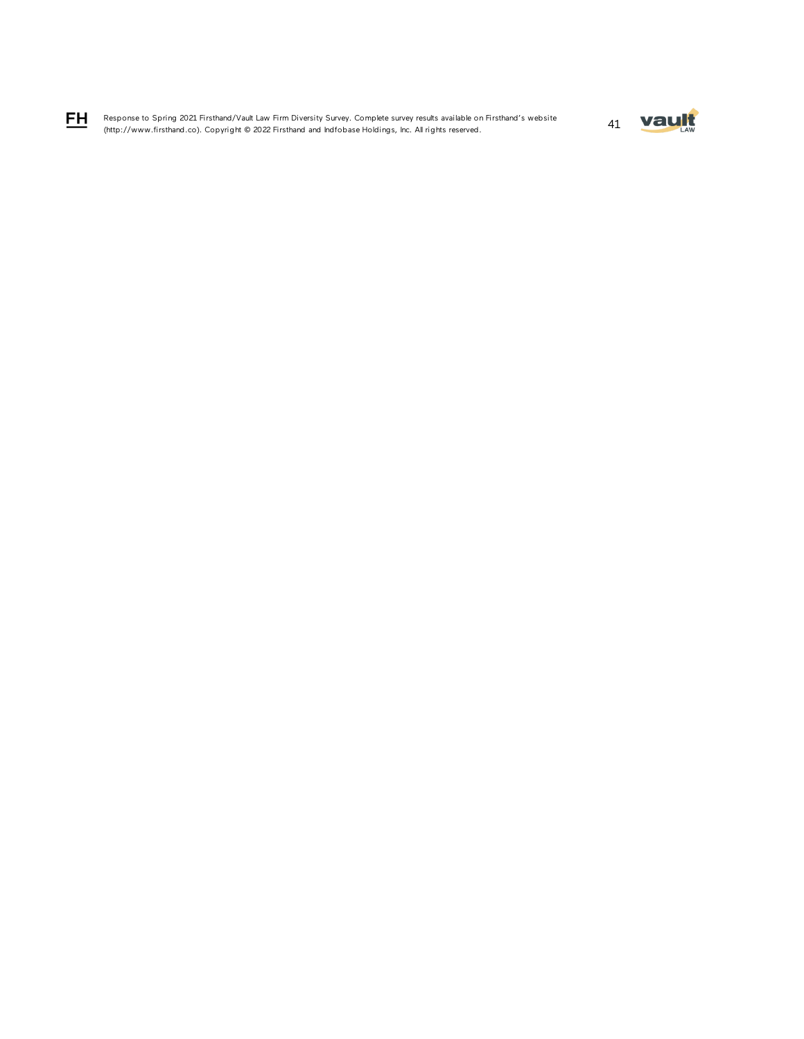**FH** 

Response to Spring 2021 Firsthand/Vault Law Firm Diversity Survey. Complete survey results available on Firsthand's website and the data than the data the mode that the data the moder than difference the moder than differe

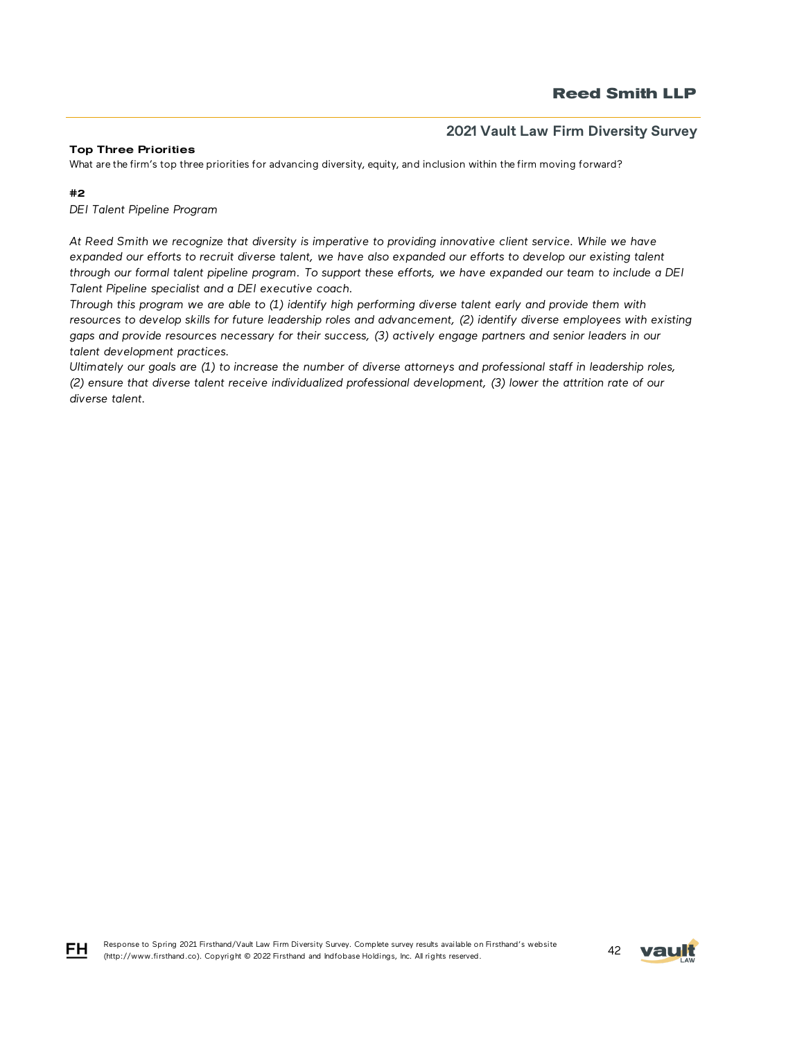## Top Three Priorities

What are the firm's top three priorities for advancing diversity, equity, and inclusion within the firm moving forward?

#2

*DEI Talent Pipeline Program*

*At Reed Smith we recognize that diversity is imperative to providing innovative client service. While we have*  expanded our efforts to recruit diverse talent, we have also expanded our efforts to develop our existing talent *through our formal talent pipeline program. To support these efforts, we have expanded our team to include a DEI Talent Pipeline specialist and a DEI executive coach.* 

*Through this program we are able to (1) identify high performing diverse talent early and provide them with resources to develop skills for future leadership roles and advancement, (2) identify diverse employees with existing gaps and provide resources necessary for their success, (3) actively engage partners and senior leaders in our talent development practices.* 

*Ultimately our goals are (1) to increase the number of diverse attorneys and professional staff in leadership roles, (2) ensure that diverse talent receive individualized professional development, (3) lower the attrition rate of our diverse talent.*



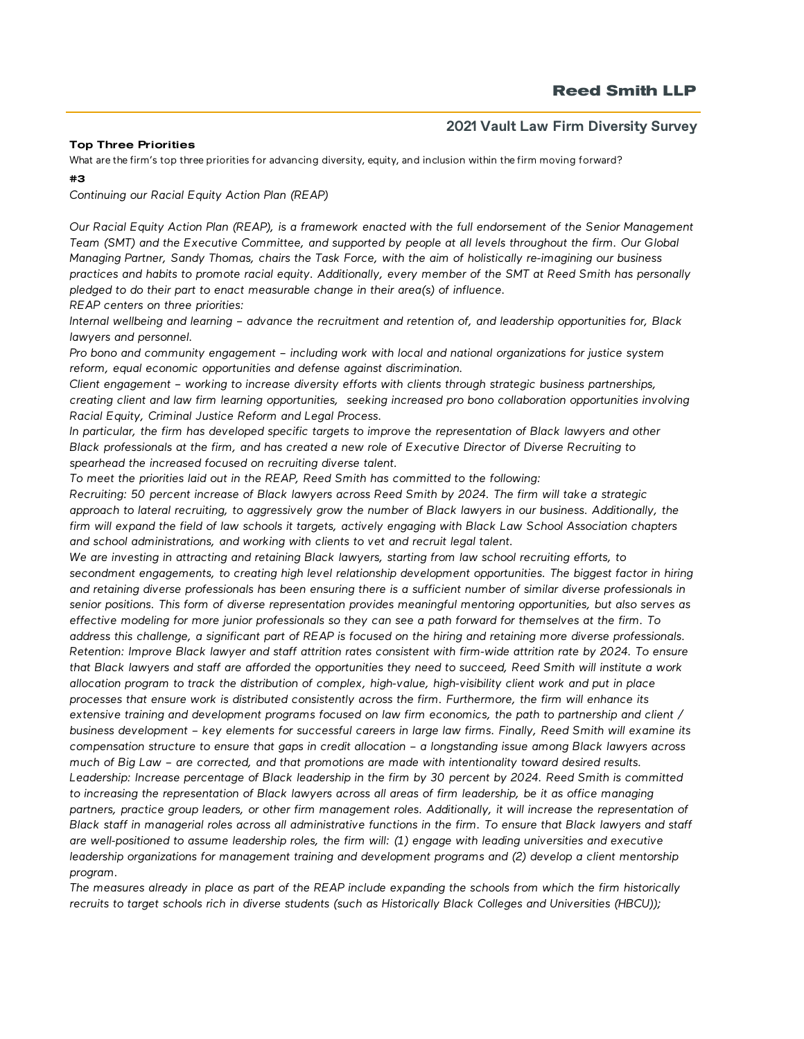### Top Three Priorities

What are the firm's top three priorities for advancing diversity, equity, and inclusion within the firm moving forward? #3

*Continuing our Racial Equity Action Plan (REAP)*

*Our Racial Equity Action Plan (REAP), is a framework enacted with the full endorsement of the Senior Management Team (SMT) and the Executive Committee, and supported by people at all levels throughout the firm. Our Global Managing Partner, Sandy Thomas, chairs the Task Force, with the aim of holistically re-imagining our business practices and habits to promote racial equity. Additionally, every member of the SMT at Reed Smith has personally pledged to do their part to enact measurable change in their area(s) of influence.*

*REAP centers on three priorities:*

*Internal wellbeing and learning – advance the recruitment and retention of, and leadership opportunities for, Black lawyers and personnel.*

*Pro bono and community engagement – including work with local and national organizations for justice system reform, equal economic opportunities and defense against discrimination.*

*Client engagement – working to increase diversity efforts with clients through strategic business partnerships, creating client and law firm learning opportunities, seeking increased pro bono collaboration opportunities involving Racial Equity, Criminal Justice Reform and Legal Process.*

*In particular, the firm has developed specific targets to improve the representation of Black lawyers and other Black professionals at the firm, and has created a new role of Executive Director of Diverse Recruiting to spearhead the increased focused on recruiting diverse talent.*

*To meet the priorities laid out in the REAP, Reed Smith has committed to the following:*

*Recruiting: 50 percent increase of Black lawyers across Reed Smith by 2024. The firm will take a strategic approach to lateral recruiting, to aggressively grow the number of Black lawyers in our business. Additionally, the firm will expand the field of law schools it targets, actively engaging with Black Law School Association chapters and school administrations, and working with clients to vet and recruit legal talent.*

*We are investing in attracting and retaining Black lawyers, starting from law school recruiting efforts, to secondment engagements, to creating high level relationship development opportunities. The biggest factor in hiring and retaining diverse professionals has been ensuring there is a sufficient number of similar diverse professionals in senior positions. This form of diverse representation provides meaningful mentoring opportunities, but also serves as effective modeling for more junior professionals so they can see a path forward for themselves at the firm. To address this challenge, a significant part of REAP is focused on the hiring and retaining more diverse professionals. Retention: Improve Black lawyer and staff attrition rates consistent with firm-wide attrition rate by 2024. To ensure that Black lawyers and staff are afforded the opportunities they need to succeed, Reed Smith will institute a work allocation program to track the distribution of complex, high-value, high-visibility client work and put in place processes that ensure work is distributed consistently across the firm. Furthermore, the firm will enhance its extensive training and development programs focused on law firm economics, the path to partnership and client / business development – key elements for successful careers in large law firms. Finally, Reed Smith will examine its compensation structure to ensure that gaps in credit allocation – a longstanding issue among Black lawyers across much of Big Law – are corrected, and that promotions are made with intentionality toward desired results. Leadership: Increase percentage of Black leadership in the firm by 30 percent by 2024. Reed Smith is committed to increasing the representation of Black lawyers across all areas of firm leadership, be it as office managing partners, practice group leaders, or other firm management roles. Additionally, it will increase the representation of Black staff in managerial roles across all administrative functions in the firm. To ensure that Black lawyers and staff are well-positioned to assume leadership roles, the firm will: (1) engage with leading universities and executive leadership organizations for management training and development programs and (2) develop a client mentorship program.*

*The measures already in place as part of the REAP include expanding the schools from which the firm historically*  recruits to target schools rich in diverse students (such as Historically Black Colleges and Universities (HBCU));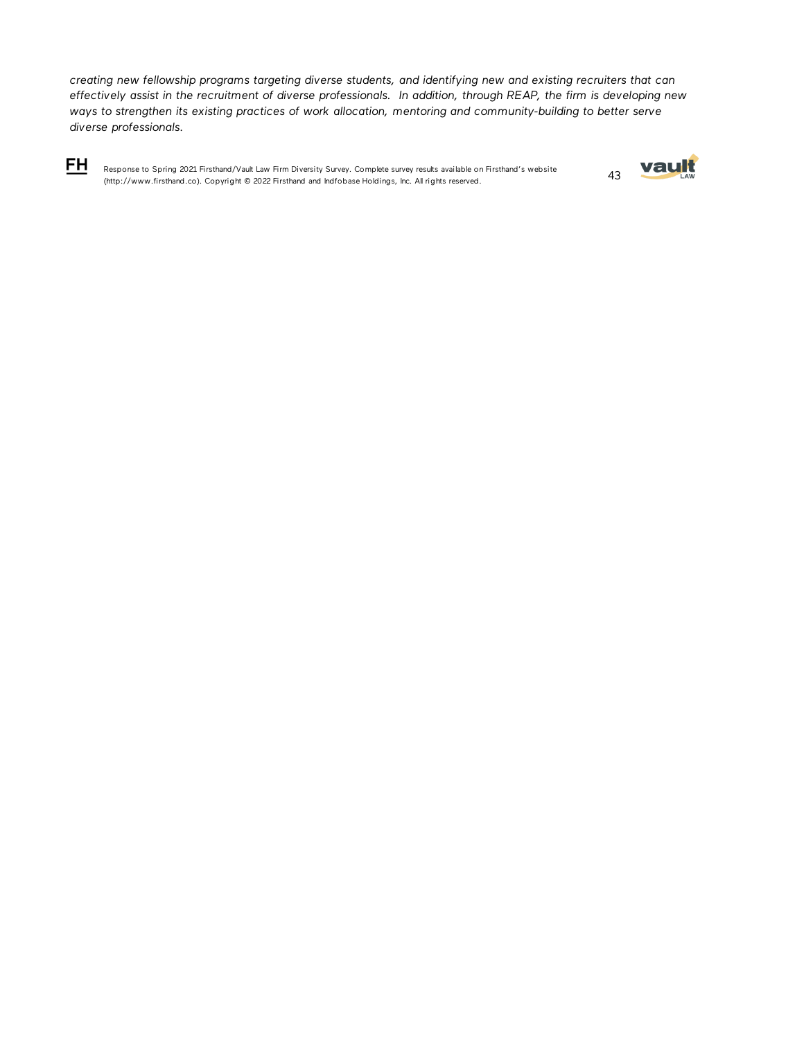*creating new fellowship programs targeting diverse students, and identifying new and existing recruiters that can effectively assist in the recruitment of diverse professionals. In addition, through REAP, the firm is developing new ways to strengthen its existing practices of work allocation, mentoring and community-building to better serve diverse professionals.*

FH

Response to Spring 2021 Firsthand/Vault Law Firm Diversity Survey. Complete survey results available on Firsthand's website Response to Spring 2021 Firsthand/Vault Law Firm Diversity Survey. Complete survey results available on Firsthand's website<br>(http://www.firsthand.co). Copyright © 2022 Firsthand and Indfobase Holdings, Inc. All rights rese